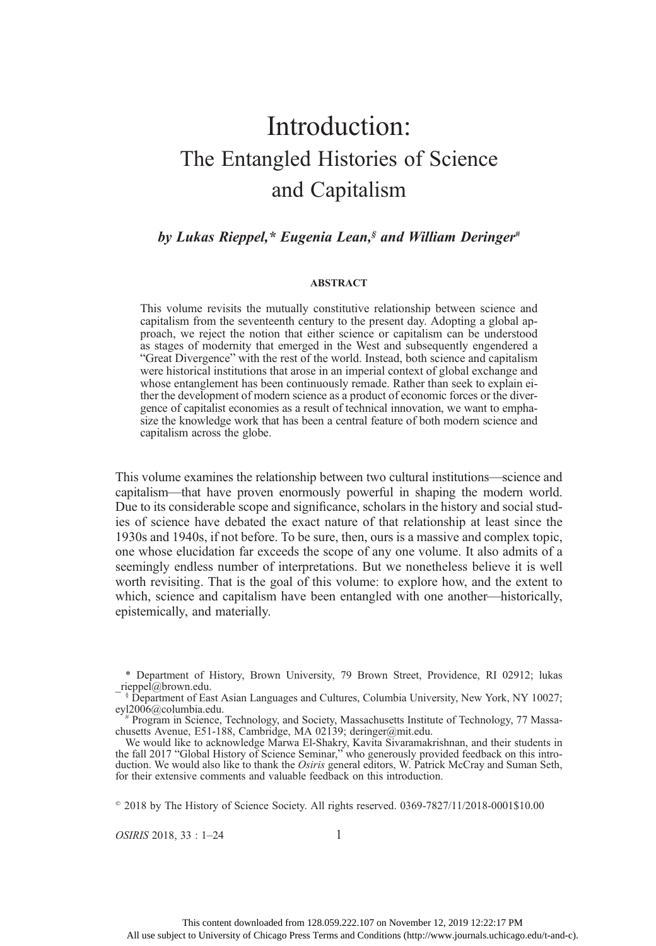# Introduction: The Entangled Histories of Science and Capitalism

# by Lukas Rieppel,\* Eugenia Lean, $\delta$  and William Deringer<sup>#</sup>

#### ABSTRACT

This volume revisits the mutually constitutive relationship between science and capitalism from the seventeenth century to the present day. Adopting a global approach, we reject the notion that either science or capitalism can be understood as stages of modernity that emerged in the West and subsequently engendered a "Great Divergence" with the rest of the world. Instead, both science and capitalism were historical institutions that arose in an imperial context of global exchange and whose entanglement has been continuously remade. Rather than seek to explain either the development of modern science as a product of economic forces or the divergence of capitalist economies as a result of technical innovation, we want to emphasize the knowledge work that has been a central feature of both modern science and capitalism across the globe.

This volume examines the relationship between two cultural institutions—science and capitalism—that have proven enormously powerful in shaping the modern world. Due to its considerable scope and significance, scholars in the history and social studies of science have debated the exact nature of that relationship at least since the 1930s and 1940s, if not before. To be sure, then, ours is a massive and complex topic, one whose elucidation far exceeds the scope of any one volume. It also admits of a seemingly endless number of interpretations. But we nonetheless believe it is well worth revisiting. That is the goal of this volume: to explore how, and the extent to which, science and capitalism have been entangled with one another—historically, epistemically, and materially.

 $^{\circ}$  2018 by The History of Science Society. All rights reserved. 0369-7827/11/2018-0001\$10.00

 $OSIRIS$  2018, 33 : 1–24 1

<sup>\*</sup> Department of History, Brown University, 79 Brown Street, Providence, RI 02912; lukas \_rieppel@brown.edu.

<sup>&</sup>lt;sup>-</sup>§ Department of East Asian Languages and Cultures, Columbia University, New York, NY 10027; eyl2006@columbia.edu. eyl2006@columbia.edu.<br># Program in Science, Technology, and Society, Massachusetts Institute of Technology, 77 Massa-

chusetts Avenue, E51-188, Cambridge, MA 02139; deringer@mit.edu.

We would like to acknowledge Marwa El-Shakry, Kavita Sivaramakrishnan, and their students in the fall 2017 "Global History of Science Seminar," who generously provided feedback on this introduction. We would also like to thank the Osiris general editors, W. Patrick McCray and Suman Seth, for their extensive comments and valuable feedback on this introduction.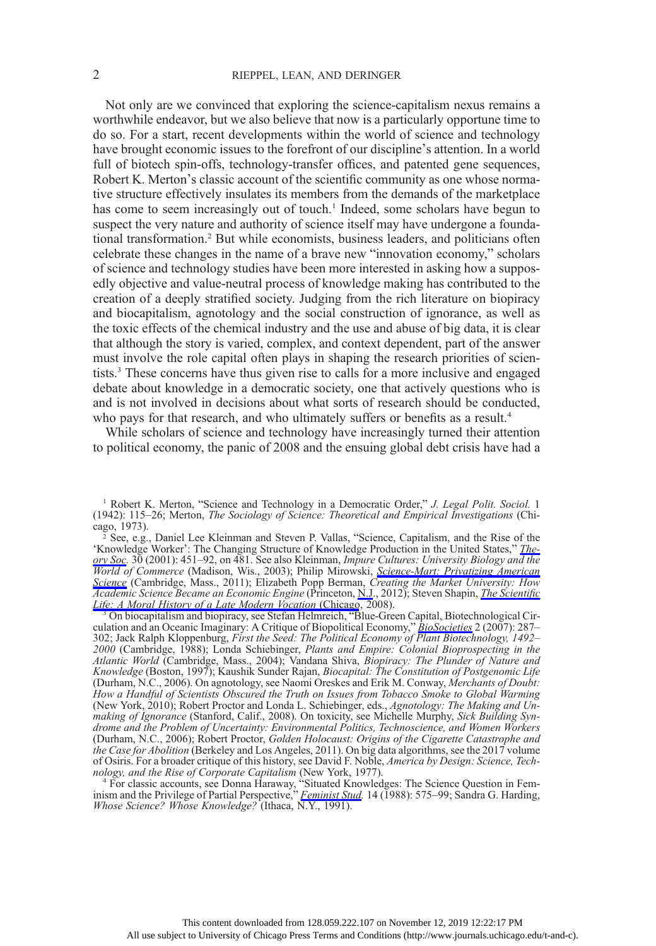Not only are we convinced that exploring the science-capitalism nexus remains a worthwhile endeavor, but we also believe that now is a particularly opportune time to do so. For a start, recent developments within the world of science and technology have brought economic issues to the forefront of our discipline's attention. In a world full of biotech spin-offs, technology-transfer offices, and patented gene sequences, Robert K. Merton's classic account of the scientific community as one whose normative structure effectively insulates its members from the demands of the marketplace has come to seem increasingly out of touch.<sup>1</sup> Indeed, some scholars have begun to suspect the very nature and authority of science itself may have undergone a foundational transformation.<sup>2</sup> But while economists, business leaders, and politicians often celebrate these changes in the name of a brave new "innovation economy," scholars of science and technology studies have been more interested in asking how a supposedly objective and value-neutral process of knowledge making has contributed to the creation of a deeply stratified society. Judging from the rich literature on biopiracy and biocapitalism, agnotology and the social construction of ignorance, as well as the toxic effects of the chemical industry and the use and abuse of big data, it is clear that although the story is varied, complex, and context dependent, part of the answer must involve the role capital often plays in shaping the research priorities of scientists.3 These concerns have thus given rise to calls for a more inclusive and engaged debate about knowledge in a democratic society, one that actively questions who is and is not involved in decisions about what sorts of research should be conducted, who pays for that research, and who ultimately suffers or benefits as a result.<sup>4</sup>

While scholars of science and technology have increasingly turned their attention to political economy, the panic of 2008 and the ensuing global debt crisis have had a

nology, and the Rise of Corporate Capitalism (New York, 1977).<br><sup>4</sup> For classic accounts, see Donna Haraway, "Situated Knowledges: The Science Question in Feminism and the Privilege of Partial Perspective," *[Feminist Stud.](https://www.journals.uchicago.edu/action/showLinks?doi=10.1086%2F699170&crossref=10.2307%2F3178066&citationId=p_n_25)* 14 (1988): 575–99; Sandra G. Harding, Whose Science? Whose Knowledge? (Ithaca, N.Y., 1991).

<sup>&</sup>lt;sup>1</sup> Robert K. Merton, "Science and Technology in a Democratic Order," *J. Legal Polit. Sociol.* 1 (1942): 115–26; Merton, The Sociology of Science: Theoretical and Empirical Investigations (Chicago, 1973).

<sup>2</sup> See, e.g., Daniel Lee Kleinman and Steven P. Vallas, "Science, Capitalism, and the Rise of the 'Knowledge Worker': The Changing Structure of Knowledge Production in the United States," [The](https://www.journals.uchicago.edu/action/showLinks?doi=10.1086%2F699170&crossref=10.1023%2FA%3A1011815518959&citationId=p_n_4)[ory Soc.](https://www.journals.uchicago.edu/action/showLinks?doi=10.1086%2F699170&crossref=10.1023%2FA%3A1011815518959&citationId=p_n_4) 30 (2001): 451–92, on 481. See also Kleinman, Impure Cultures: University Biology and the World of Commerce (Madison, Wis., 2003); Philip Mirowski, [Science-Mart: Privatizing American](https://www.journals.uchicago.edu/action/showLinks?doi=10.1086%2F699170&crossref=10.4159%2Fharvard.9780674061132&citationId=p_n_6) [Science](https://www.journals.uchicago.edu/action/showLinks?doi=10.1086%2F699170&crossref=10.4159%2Fharvard.9780674061132&citationId=p_n_6) (Cambridge, Mass., 2011); Elizabeth Popp Berman, Creating the Market University: How Academic Science Became an Economic Engine (Princeton, [N.J](https://www.journals.uchicago.edu/action/showLinks?doi=10.1086%2F699170&crossref=10.1515%2F9781400840472&citationId=p_n_7)., 2012); Steven Shapin, *[The Scienti](https://www.journals.uchicago.edu/action/showLinks?doi=10.1086%2F699170&crossref=10.7208%2Fchicago%2F9780226750170.001.0001&citationId=p_n_8)fic* 

[Life: A Moral History of a Late Modern Vocation](https://www.journals.uchicago.edu/action/showLinks?doi=10.1086%2F699170&crossref=10.7208%2Fchicago%2F9780226750170.001.0001&citationId=p_n_8) (Chicago, 2008).<br><sup>3</sup> On biocapitalism and biopiracy, see Stefan Helmreich, "Blue-Green Capital, Biotechnological Cir-culation and an Oceanic Imaginary: A Critique of Biopolitical Economy," [BioSocieties](https://www.journals.uchicago.edu/action/showLinks?doi=10.1086%2F699170&crossref=10.1017%2FS1745855207005753&citationId=p_n_10) 2 (2007): 287– 302; Jack Ralph Kloppenburg, First the Seed: The Political Economy of Plant Biotechnology, 1492– 2000 (Cambridge, 1988); Londa Schiebinger, Plants and Empire: Colonial Bioprospecting in the Atlantic World (Cambridge, Mass., 2004); Vandana Shiva, Biopiracy: The Plunder of Nature and Knowledge (Boston, 1997); Kaushik Sunder Rajan, Biocapital: The Constitution of Postgenomic Life (Durham, N.C., 2006). On agnotology, see Naomi Oreskes and Erik M. Conway, Merchants of Doubt: How a Handful of Scientists Obscured the Truth on Issues from Tobacco Smoke to Global Warming (New York, 2010); Robert Proctor and Londa L. Schiebinger, eds., Agnotology: The Making and Unmaking of Ignorance (Stanford, Calif., 2008). On toxicity, see Michelle Murphy, Sick Building Syndrome and the Problem of Uncertainty: Environmental Politics, Technoscience, and Women Workers (Durham, N.C., 2006); Robert Proctor, Golden Holocaust: Origins of the Cigarette Catastrophe and the Case for Abolition (Berkeley and Los Angeles, 2011). On big data algorithms, see the 2017 volume of Osiris. For a broader critique of this history, see David F. Noble, America by Design: Science, Technology, and the Rise of Corporate Capitalism (New York, 1977).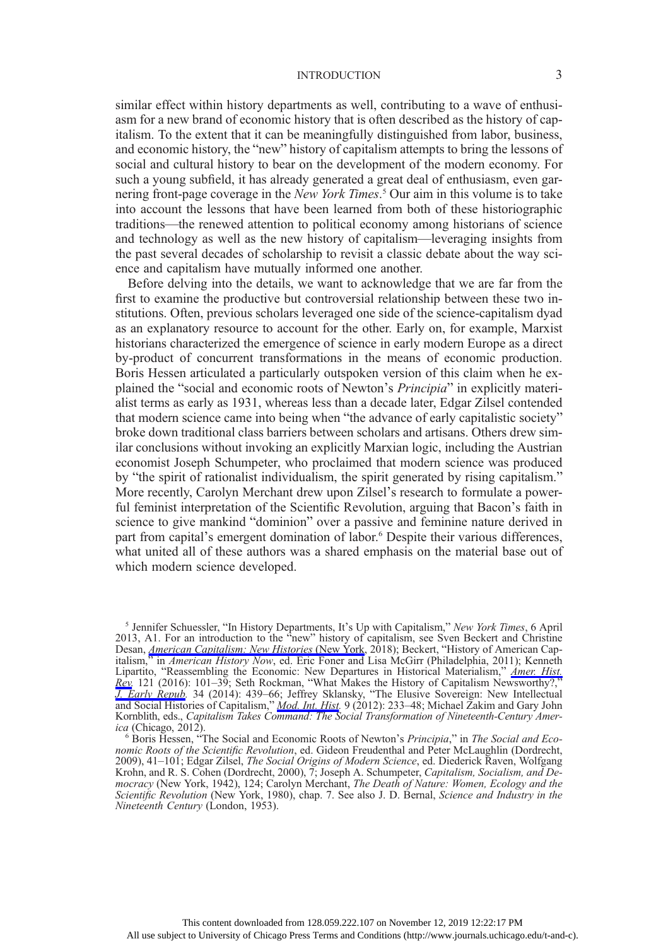similar effect within history departments as well, contributing to a wave of enthusiasm for a new brand of economic history that is often described as the history of capitalism. To the extent that it can be meaningfully distinguished from labor, business, and economic history, the "new" history of capitalism attempts to bring the lessons of social and cultural history to bear on the development of the modern economy. For such a young subfield, it has already generated a great deal of enthusiasm, even garnering front-page coverage in the New York Times.<sup>5</sup> Our aim in this volume is to take into account the lessons that have been learned from both of these historiographic traditions—the renewed attention to political economy among historians of science and technology as well as the new history of capitalism—leveraging insights from the past several decades of scholarship to revisit a classic debate about the way science and capitalism have mutually informed one another.

Before delving into the details, we want to acknowledge that we are far from the first to examine the productive but controversial relationship between these two institutions. Often, previous scholars leveraged one side of the science-capitalism dyad as an explanatory resource to account for the other. Early on, for example, Marxist historians characterized the emergence of science in early modern Europe as a direct by-product of concurrent transformations in the means of economic production. Boris Hessen articulated a particularly outspoken version of this claim when he explained the "social and economic roots of Newton's Principia" in explicitly materialist terms as early as 1931, whereas less than a decade later, Edgar Zilsel contended that modern science came into being when "the advance of early capitalistic society" broke down traditional class barriers between scholars and artisans. Others drew similar conclusions without invoking an explicitly Marxian logic, including the Austrian economist Joseph Schumpeter, who proclaimed that modern science was produced by "the spirit of rationalist individualism, the spirit generated by rising capitalism." More recently, Carolyn Merchant drew upon Zilsel's research to formulate a powerful feminist interpretation of the Scientific Revolution, arguing that Bacon's faith in science to give mankind "dominion" over a passive and feminine nature derived in part from capital's emergent domination of labor.<sup>6</sup> Despite their various differences, what united all of these authors was a shared emphasis on the material base out of which modern science developed.

<sup>&</sup>lt;sup>5</sup> Jennifer Schuessler, "In History Departments, It's Up with Capitalism," New York Times, 6 April 2013, A1. For an introduction to the "new" history of capitalism, see Sven Beckert and Christine Desan, *[American Capitalism: New Histories](https://www.journals.uchicago.edu/action/showLinks?doi=10.1086%2F699170&crossref=10.7312%2Fbeck18524&citationId=p_n_28)* (New York, 2018); Beckert, "History of American Capitalism," in American History Now, ed. Eric Foner and Lisa McGirr (Philadelphia, 2011); Kenneth Lipartito, "Reassembling the Economic: New Departures in Historical Materialism," [Amer. Hist.](https://www.journals.uchicago.edu/action/showLinks?doi=10.1086%2F699170&crossref=10.1093%2Fahr%2F121.1.101&citationId=p_n_30) [Rev.](https://www.journals.uchicago.edu/action/showLinks?doi=10.1086%2F699170&crossref=10.1093%2Fahr%2F121.1.101&citationId=p_n_30) 121 (2016): 101–39; Seth Rockman, "What Makes the History of Capitalism Newsworthy?," [J. Early Repub](https://www.journals.uchicago.edu/action/showLinks?doi=10.1086%2F699170&crossref=10.1353%2Fjer.2014.0043&citationId=p_n_31). 34 (2014): 439–66; Jeffrey Sklansky, "The Elusive Sovereign: New Intellectual and Social Histories of Capitalism," *[Mod. Int. Hist.](https://www.journals.uchicago.edu/action/showLinks?doi=10.1086%2F699170&crossref=10.1017%2FS1479244311000588&citationId=p_n_32)* 9 (2012): 233-48; Michael Zakim and Gary John Kornblith, eds., Capitalism Takes Command: The Social Transformation of Nineteenth-Century America (Chicago, 2012).

 $6$  Boris Hessen,  $6$ The Social and Economic Roots of Newton's Principia," in The Social and Economic Roots of the Scientific Revolution, ed. Gideon Freudenthal and Peter McLaughlin (Dordrecht, 2009), 41–101; Edgar Zilsel, *The Social Origins of Modern Science*, ed. Diederick Raven, Wolfgang Krohn, and R. S. Cohen (Dordrecht, 2000), 7; Joseph A. Schumpeter, Capitalism, Socialism, and Democracy (New York, 1942), 124; Carolyn Merchant, The Death of Nature: Women, Ecology and the Scientific Revolution (New York, 1980), chap. 7. See also J. D. Bernal, Science and Industry in the Nineteenth Century (London, 1953).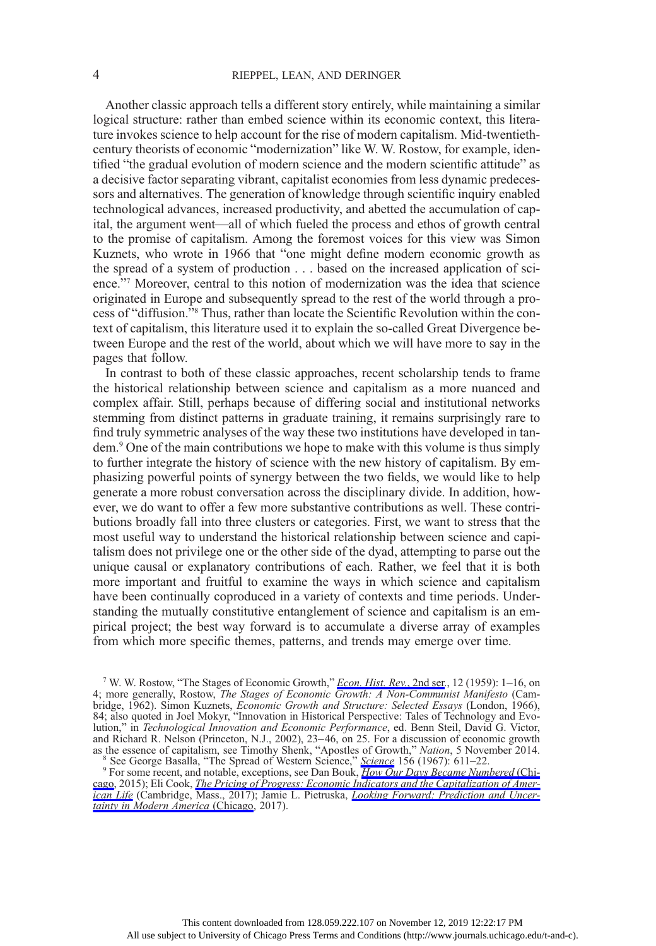Another classic approach tells a different story entirely, while maintaining a similar logical structure: rather than embed science within its economic context, this literature invokes science to help account for the rise of modern capitalism. Mid-twentiethcentury theorists of economic "modernization" like W. W. Rostow, for example, identified "the gradual evolution of modern science and the modern scientific attitude" as a decisive factor separating vibrant, capitalist economies from less dynamic predecessors and alternatives. The generation of knowledge through scientific inquiry enabled technological advances, increased productivity, and abetted the accumulation of capital, the argument went—all of which fueled the process and ethos of growth central to the promise of capitalism. Among the foremost voices for this view was Simon Kuznets, who wrote in 1966 that "one might define modern economic growth as the spread of a system of production . . . based on the increased application of science."<sup>7</sup> Moreover, central to this notion of modernization was the idea that science originated in Europe and subsequently spread to the rest of the world through a process of "diffusion."<sup>8</sup> Thus, rather than locate the Scientific Revolution within the context of capitalism, this literature used it to explain the so-called Great Divergence between Europe and the rest of the world, about which we will have more to say in the pages that follow.

In contrast to both of these classic approaches, recent scholarship tends to frame the historical relationship between science and capitalism as a more nuanced and complex affair. Still, perhaps because of differing social and institutional networks stemming from distinct patterns in graduate training, it remains surprisingly rare to find truly symmetric analyses of the way these two institutions have developed in tandem.9 One of the main contributions we hope to make with this volume is thus simply to further integrate the history of science with the new history of capitalism. By emphasizing powerful points of synergy between the two fields, we would like to help generate a more robust conversation across the disciplinary divide. In addition, however, we do want to offer a few more substantive contributions as well. These contributions broadly fall into three clusters or categories. First, we want to stress that the most useful way to understand the historical relationship between science and capitalism does not privilege one or the other side of the dyad, attempting to parse out the unique causal or explanatory contributions of each. Rather, we feel that it is both more important and fruitful to examine the ways in which science and capitalism have been continually coproduced in a variety of contexts and time periods. Understanding the mutually constitutive entanglement of science and capitalism is an empirical project; the best way forward is to accumulate a diverse array of examples from which more specific themes, patterns, and trends may emerge over time.

<sup>7</sup> W. W. Rostow, "The Stages of Economic Growth," *[Econ. Hist. Rev.](https://www.journals.uchicago.edu/action/showLinks?doi=10.1086%2F699170&crossref=10.1111%2Fj.1468-0289.1959.tb01829.x&citationId=p_n_39)*, 2nd ser., 12 (1959): 1-16, on 4; more generally, Rostow, *The Stages of Economic Growth: A Non-Communist Manifesto* (Cambridge, 1962). Simon Kuznets, Economic Growth and Structure: Selected Essays (London, 1966), 84; also quoted in Joel Mokyr, "Innovation in Historical Perspective: Tales of Technology and Evolution," in Technological Innovation and Economic Performance, ed. Benn Steil, David G. Victor, and Richard R. Nelson (Princeton, N.J., 2002), 23–46, on 25. For a discussion of economic growth as the essence of capitalism, see Timothy Shenk, "Apostles of Growth," *Nation*, 5 November 2014.<br><sup>8</sup> See George Basalla, "The Spread of Western [Science](https://www.journals.uchicago.edu/action/showLinks?doi=10.1086%2F699170&crossref=10.1126%2Fscience.156.3775.611&citationId=p_n_43)," *Science* 156 (1967): 611–22.<br><sup>9</sup> For some recent, and notable, exc

[cago,](https://www.journals.uchicago.edu/action/showLinks?doi=10.1086%2F699170&crossref=10.7208%2Fchicago%2F9780226259208.001.0001&citationId=p_n_45) 2015); Eli Cook, [The Pricing of Progress: Economic Indicators and the Capitalization of Amer](https://www.journals.uchicago.edu/action/showLinks?doi=10.1086%2F699170&crossref=10.4159%2F9780674982529&citationId=p_n_46)[ican Life](https://www.journals.uchicago.edu/action/showLinks?doi=10.1086%2F699170&crossref=10.4159%2F9780674982529&citationId=p_n_46) (Cambridge, Mass., 2017); Jamie L. Pietruska, *[Looking Forward: Prediction and Uncer](https://www.journals.uchicago.edu/action/showLinks?doi=10.1086%2F699170&crossref=10.7208%2Fchicago%2F9780226509150.001.0001&citationId=p_n_47)*[tainty in Modern America](https://www.journals.uchicago.edu/action/showLinks?doi=10.1086%2F699170&crossref=10.7208%2Fchicago%2F9780226509150.001.0001&citationId=p_n_47) (Chicago, 2017).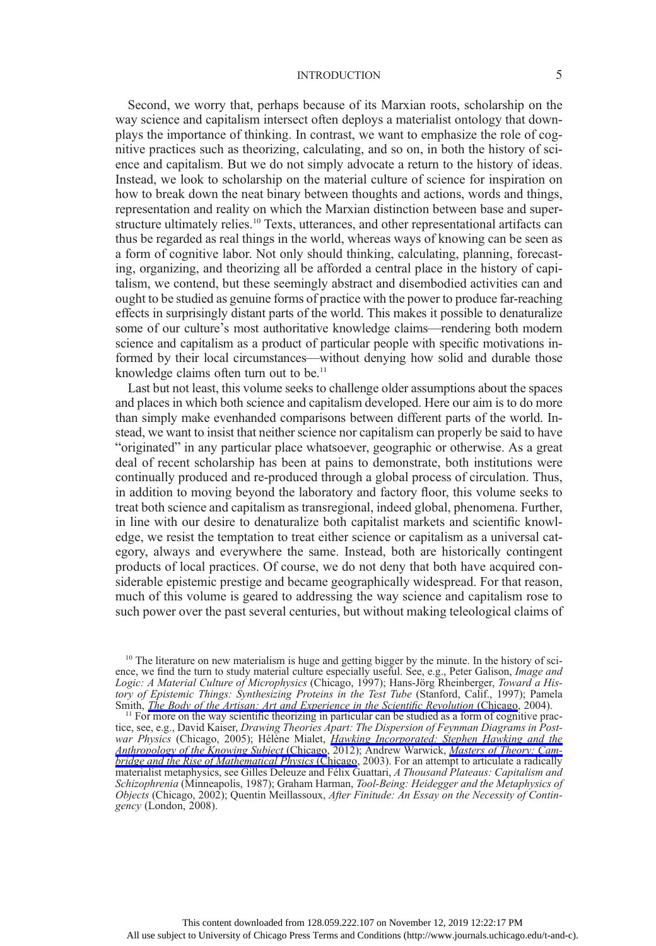Second, we worry that, perhaps because of its Marxian roots, scholarship on the way science and capitalism intersect often deploys a materialist ontology that downplays the importance of thinking. In contrast, we want to emphasize the role of cognitive practices such as theorizing, calculating, and so on, in both the history of science and capitalism. But we do not simply advocate a return to the history of ideas. Instead, we look to scholarship on the material culture of science for inspiration on how to break down the neat binary between thoughts and actions, words and things, representation and reality on which the Marxian distinction between base and superstructure ultimately relies.<sup>10</sup> Texts, utterances, and other representational artifacts can thus be regarded as real things in the world, whereas ways of knowing can be seen as a form of cognitive labor. Not only should thinking, calculating, planning, forecasting, organizing, and theorizing all be afforded a central place in the history of capitalism, we contend, but these seemingly abstract and disembodied activities can and ought to be studied as genuine forms of practice with the power to produce far-reaching effects in surprisingly distant parts of the world. This makes it possible to denaturalize some of our culture's most authoritative knowledge claims—rendering both modern science and capitalism as a product of particular people with specific motivations informed by their local circumstances—without denying how solid and durable those knowledge claims often turn out to be. $<sup>11</sup>$ </sup>

Last but not least, this volume seeks to challenge older assumptions about the spaces and places in which both science and capitalism developed. Here our aim is to do more than simply make evenhanded comparisons between different parts of the world. Instead, we want to insist that neither science nor capitalism can properly be said to have "originated" in any particular place whatsoever, geographic or otherwise. As a great deal of recent scholarship has been at pains to demonstrate, both institutions were continually produced and re-produced through a global process of circulation. Thus, in addition to moving beyond the laboratory and factory floor, this volume seeks to treat both science and capitalism as transregional, indeed global, phenomena. Further, in line with our desire to denaturalize both capitalist markets and scientific knowledge, we resist the temptation to treat either science or capitalism as a universal category, always and everywhere the same. Instead, both are historically contingent products of local practices. Of course, we do not deny that both have acquired considerable epistemic prestige and became geographically widespread. For that reason, much of this volume is geared to addressing the way science and capitalism rose to such power over the past several centuries, but without making teleological claims of

 $<sup>11</sup>$  For more on the way scientific theorizing in particular can be studied as a form of cognitive prac-</sup> tice, see, e.g., David Kaiser, Drawing Theories Apart: The Dispersion of Feynman Diagrams in Postwar Physics (Chicago, 2005); Hélène Mialet, *[Hawking Incorporated: Stephen Hawking and the](https://www.journals.uchicago.edu/action/showLinks?doi=10.1086%2F699170&crossref=10.7208%2Fchicago%2F9780226522296.001.0001&citationId=p_n_51)* [Anthropology of the Knowing Subject](https://www.journals.uchicago.edu/action/showLinks?doi=10.1086%2F699170&crossref=10.7208%2Fchicago%2F9780226522296.001.0001&citationId=p_n_51) (Chicago, 2012); Andrew Warwick, [Masters of Theory: Cam](https://www.journals.uchicago.edu/action/showLinks?doi=10.1086%2F699170&crossref=10.7208%2Fchicago%2F9780226873763.001.0001&citationId=p_n_52)[bridge and the Rise of Mathematical Physics](https://www.journals.uchicago.edu/action/showLinks?doi=10.1086%2F699170&crossref=10.7208%2Fchicago%2F9780226873763.001.0001&citationId=p_n_52) (Chicago, 2003). For an attempt to articulate a radically materialist metaphysics, see Gilles Deleuze and Félix Guattari, A Thousand Plateaus: Capitalism and Schizophrenia (Minneapolis, 1987); Graham Harman, Tool-Being: Heidegger and the Metaphysics of Objects (Chicago, 2002); Quentin Meillassoux, After Finitude: An Essay on the Necessity of Contingency (London, 2008).

<sup>&</sup>lt;sup>10</sup> The literature on new materialism is huge and getting bigger by the minute. In the history of science, we find the turn to study material culture especially useful. See, e.g., Peter Galison, *Image and* Logic: A Material Culture of Microphysics (Chicago, 1997); Hans-Jörg Rheinberger, Toward a History of Epistemic Things: Synthesizing Proteins in the Test Tube (Stanford, Calif., 1997); Pamela<br>Smith, The Body of the Artisan: Art and Experience in the Scientific Revolution (Chicago, 2004).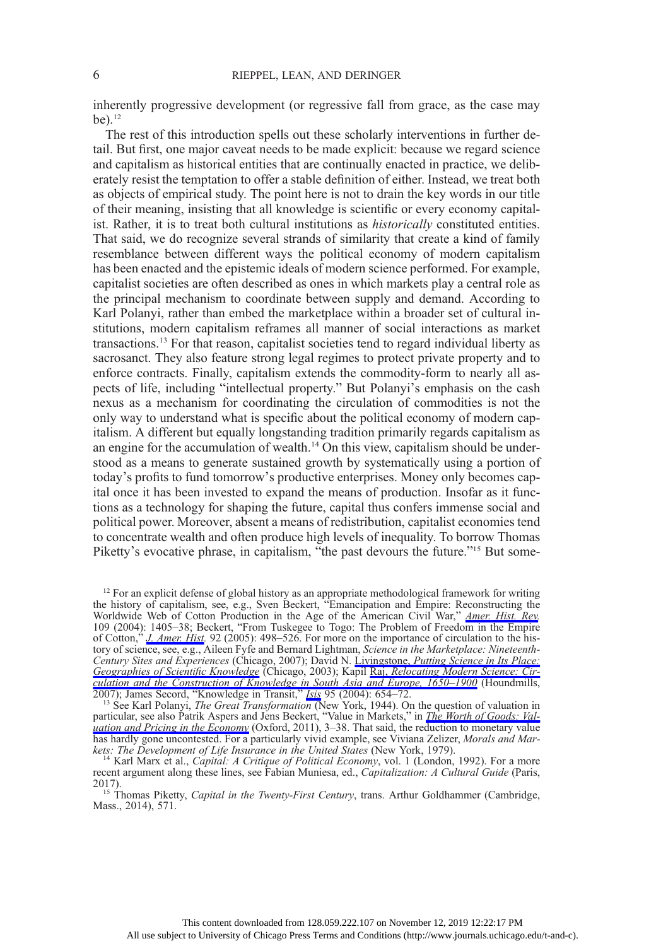inherently progressive development (or regressive fall from grace, as the case may  $be)$ <sup>12</sup>

The rest of this introduction spells out these scholarly interventions in further detail. But first, one major caveat needs to be made explicit: because we regard science and capitalism as historical entities that are continually enacted in practice, we deliberately resist the temptation to offer a stable definition of either. Instead, we treat both as objects of empirical study. The point here is not to drain the key words in our title of their meaning, insisting that all knowledge is scientific or every economy capitalist. Rather, it is to treat both cultural institutions as historically constituted entities. That said, we do recognize several strands of similarity that create a kind of family resemblance between different ways the political economy of modern capitalism has been enacted and the epistemic ideals of modern science performed. For example, capitalist societies are often described as ones in which markets play a central role as the principal mechanism to coordinate between supply and demand. According to Karl Polanyi, rather than embed the marketplace within a broader set of cultural institutions, modern capitalism reframes all manner of social interactions as market transactions.13 For that reason, capitalist societies tend to regard individual liberty as sacrosanct. They also feature strong legal regimes to protect private property and to enforce contracts. Finally, capitalism extends the commodity-form to nearly all aspects of life, including "intellectual property." But Polanyi's emphasis on the cash nexus as a mechanism for coordinating the circulation of commodities is not the only way to understand what is specific about the political economy of modern capitalism. A different but equally longstanding tradition primarily regards capitalism as an engine for the accumulation of wealth.14 On this view, capitalism should be understood as a means to generate sustained growth by systematically using a portion of today's profits to fund tomorrow's productive enterprises. Money only becomes capital once it has been invested to expand the means of production. Insofar as it functions as a technology for shaping the future, capital thus confers immense social and political power. Moreover, absent a means of redistribution, capitalist economies tend to concentrate wealth and often produce high levels of inequality. To borrow Thomas Piketty's evocative phrase, in capitalism, "the past devours the future."<sup>15</sup> But some-

2007); James Secord, "Knowledge in Transit," *[Isis](https://www.journals.uchicago.edu/action/showLinks?doi=10.1086%2F699170&system=10.1086%2F430657&citationId=p_n_62)* 95 (2004): 654–72.<br><sup>13</sup> See Karl Polanyi, *The Great Transformation* (New York, 1944). On the question of valuation in particular, see also Patrik Aspers and Jens Beckert, "Value in Markets," in *[The Worth of Goods: Val](https://www.journals.uchicago.edu/action/showLinks?doi=10.1086%2F699170&crossref=10.1093%2Facprof%3Aosobl%2F9780199594641.003.0001&citationId=p_n_66)*[uation and Pricing in the Economy](https://www.journals.uchicago.edu/action/showLinks?doi=10.1086%2F699170&crossref=10.1093%2Facprof%3Aosobl%2F9780199594641.003.0001&citationId=p_n_66) (Oxford, 2011), 3–38. That said, the reduction to monetary value has hardly gone uncontested. For a particularly vivid example, see Viviana Zelizer, Morals and Mar-<br>kets: The Development of Life Insurance in the United States (New York, 1979).

<sup>&</sup>lt;sup>12</sup> For an explicit defense of global history as an appropriate methodological framework for writing the history of capitalism, see, e.g., Sven Beckert, "Emancipation and Empire: Reconstructing the Worldwide Web of Cotton Production in the Age of the American Civil War," *[Amer. Hist. Rev.](https://www.journals.uchicago.edu/action/showLinks?doi=10.1086%2F699170&crossref=10.1086%2F530931&citationId=p_n_58)* 109 (2004): 1405–38; Beckert, "From Tuskegee to Togo: The Problem of Freedom in the Empire of Cotton," *[J. Amer. Hist](https://www.journals.uchicago.edu/action/showLinks?doi=10.1086%2F699170&crossref=10.2307%2F3659276&citationId=p_n_59).* 92 (2005): 498–526. For more on the importance of circulation to the history of science, see, e.g., Aileen Fyfe and Bernard Lightman, Science in the Marketplace: Nineteenth-Century Sites and Experiences (Chicago, 2007); David N. Livingstone, [Putting Science in Its Place:](https://www.journals.uchicago.edu/action/showLinks?doi=10.1086%2F699170&crossref=10.7208%2Fchicago%2F9780226487243.001.0001&citationId=p_n_60) [Geographies of Scienti](https://www.journals.uchicago.edu/action/showLinks?doi=10.1086%2F699170&crossref=10.7208%2Fchicago%2F9780226487243.001.0001&citationId=p_n_60)fic Knowledge (Chicago, 2003); Kapil Raj, [Relocating Modern Science: Cir](https://www.journals.uchicago.edu/action/showLinks?doi=10.1086%2F699170&crossref=10.1057%2F9780230625310&citationId=p_n_61)[culation and the Construction of Knowledge in South Asia and Europe, 1650](https://www.journals.uchicago.edu/action/showLinks?doi=10.1086%2F699170&crossref=10.1057%2F9780230625310&citationId=p_n_61)–1900 (Houndmills,

<sup>&</sup>lt;sup>14</sup> Karl Marx et al., *Capital: A Critique of Political Economy*, vol. 1 (London, 1992). For a more recent argument along these lines, see Fabian Muniesa, ed., *Capitalization: A Cultural Guide* (Paris, 2017).

<sup>&</sup>lt;sup>15</sup> Thomas Piketty, *Capital in the Twenty-First Century*, trans. Arthur Goldhammer (Cambridge, Mass., 2014), 571.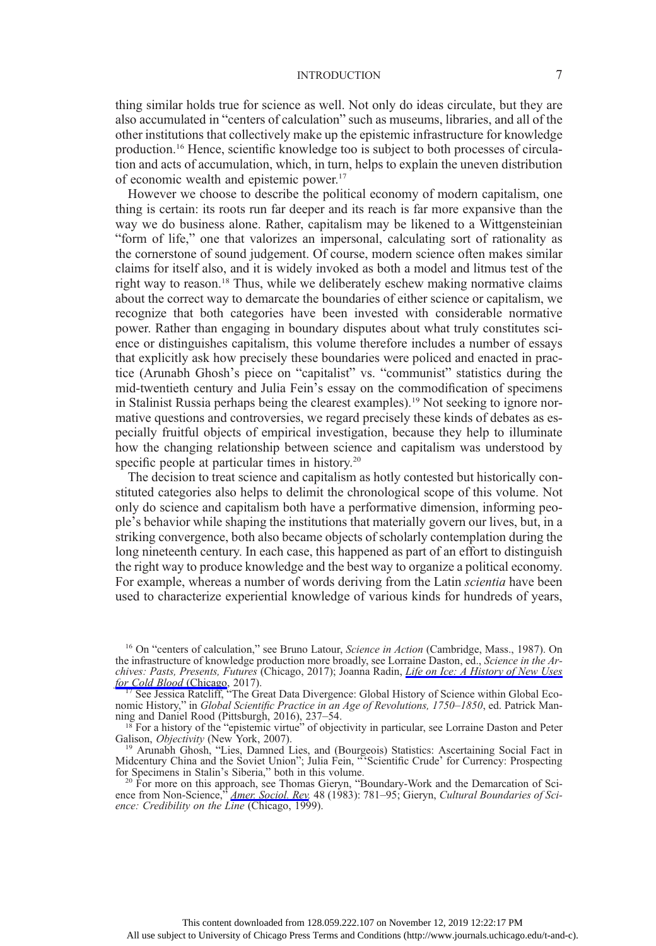thing similar holds true for science as well. Not only do ideas circulate, but they are also accumulated in "centers of calculation" such as museums, libraries, and all of the other institutions that collectively make up the epistemic infrastructure for knowledge production.16 Hence, scientific knowledge too is subject to both processes of circulation and acts of accumulation, which, in turn, helps to explain the uneven distribution of economic wealth and epistemic power.17

However we choose to describe the political economy of modern capitalism, one thing is certain: its roots run far deeper and its reach is far more expansive than the way we do business alone. Rather, capitalism may be likened to a Wittgensteinian "form of life," one that valorizes an impersonal, calculating sort of rationality as the cornerstone of sound judgement. Of course, modern science often makes similar claims for itself also, and it is widely invoked as both a model and litmus test of the right way to reason.<sup>18</sup> Thus, while we deliberately eschew making normative claims about the correct way to demarcate the boundaries of either science or capitalism, we recognize that both categories have been invested with considerable normative power. Rather than engaging in boundary disputes about what truly constitutes science or distinguishes capitalism, this volume therefore includes a number of essays that explicitly ask how precisely these boundaries were policed and enacted in practice (Arunabh Ghosh's piece on "capitalist" vs. "communist" statistics during the mid-twentieth century and Julia Fein's essay on the commodification of specimens in Stalinist Russia perhaps being the clearest examples).<sup>19</sup> Not seeking to ignore normative questions and controversies, we regard precisely these kinds of debates as especially fruitful objects of empirical investigation, because they help to illuminate how the changing relationship between science and capitalism was understood by specific people at particular times in history.<sup>20</sup>

The decision to treat science and capitalism as hotly contested but historically constituted categories also helps to delimit the chronological scope of this volume. Not only do science and capitalism both have a performative dimension, informing people's behavior while shaping the institutions that materially govern our lives, but, in a striking convergence, both also became objects of scholarly contemplation during the long nineteenth century. In each case, this happened as part of an effort to distinguish the right way to produce knowledge and the best way to organize a political economy. For example, whereas a number of words deriving from the Latin *scientia* have been used to characterize experiential knowledge of various kinds for hundreds of years,

<sup>&</sup>lt;sup>16</sup> On "centers of calculation," see Bruno Latour, Science in Action (Cambridge, Mass., 1987). On the infrastructure of knowledge production more broadly, see Lorraine Daston, ed., Science in the Archives: Pasts, Presents, Futures (Chicago, 2017); Joanna Radin, *[Life on Ice: A History of New Uses](https://www.journals.uchicago.edu/action/showLinks?doi=10.1086%2F699170&crossref=10.7208%2Fchicago%2F9780226448244.001.0001&citationId=p_n_76)* [for Cold Blood](https://www.journals.uchicago.edu/action/showLinks?doi=10.1086%2F699170&crossref=10.7208%2Fchicago%2F9780226448244.001.0001&citationId=p_n_76) (Chicago, 2017).<br><sup>17</sup> See Jessica Ratcliff, "The Great Data Divergence: Global History of Science within Global Eco-

nomic History," in Global Scientific Practice in an Age of Revolutions, 1750–1850, ed. Patrick Manning and Daniel Rood (Pittsburgh, 2016), 237–54.<br><sup>18</sup> For a history of the "epistemic virtue" of objectivity in particular, see Lorraine Daston and Peter

Galison, *Objectivity* (New York, 2007).<br><sup>19</sup> Arunabh Ghosh, "Lies, Damned Lies, and (Bourgeois) Statistics: Ascertaining Social Fact in Midcentury China and the Soviet Union"; Julia Fein, " 'Scientific Crude' for Currency: Prospecting for Specimens in Stalin's Siberia," both in this volume.<br><sup>20</sup> For more on this approach, see Thomas Gieryn, "Boundary-Work and the Demarcation of Sci-

ence from Non-Science," [Amer. Sociol. Rev.](https://www.journals.uchicago.edu/action/showLinks?doi=10.1086%2F699170&crossref=10.2307%2F2095325&citationId=p_n_82) 48 (1983): 781–95; Gieryn, Cultural Boundaries of Science: Credibility on the Line (Chicago, 1999).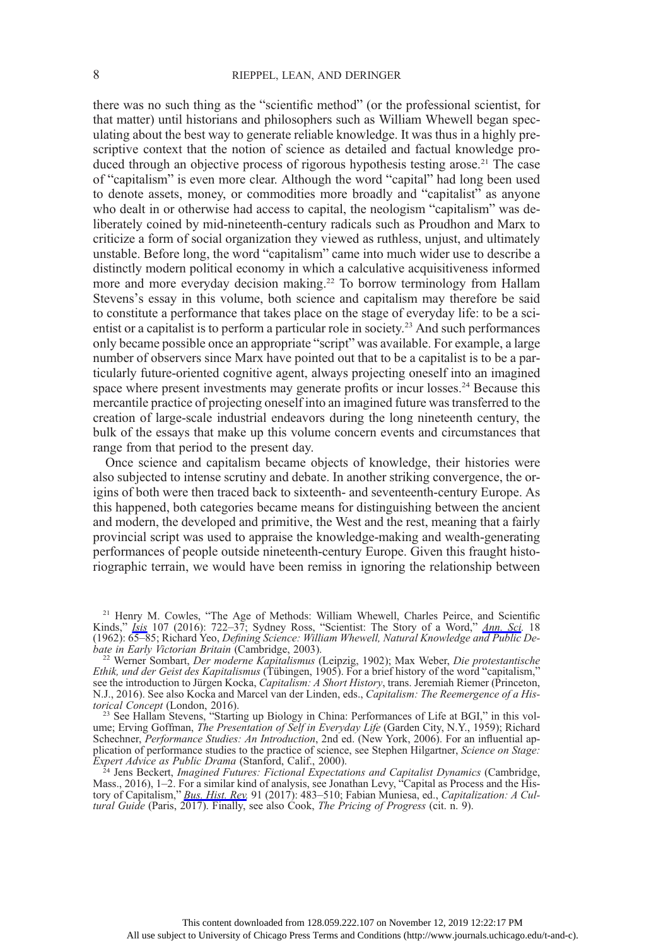there was no such thing as the "scientific method" (or the professional scientist, for that matter) until historians and philosophers such as William Whewell began speculating about the best way to generate reliable knowledge. It was thus in a highly prescriptive context that the notion of science as detailed and factual knowledge produced through an objective process of rigorous hypothesis testing arose.<sup>21</sup> The case of "capitalism" is even more clear. Although the word "capital" had long been used to denote assets, money, or commodities more broadly and "capitalist" as anyone who dealt in or otherwise had access to capital, the neologism "capitalism" was deliberately coined by mid-nineteenth-century radicals such as Proudhon and Marx to criticize a form of social organization they viewed as ruthless, unjust, and ultimately unstable. Before long, the word "capitalism" came into much wider use to describe a distinctly modern political economy in which a calculative acquisitiveness informed more and more everyday decision making.<sup>22</sup> To borrow terminology from Hallam Stevens's essay in this volume, both science and capitalism may therefore be said to constitute a performance that takes place on the stage of everyday life: to be a scientist or a capitalist is to perform a particular role in society.<sup>23</sup> And such performances only became possible once an appropriate "script" was available. For example, a large number of observers since Marx have pointed out that to be a capitalist is to be a particularly future-oriented cognitive agent, always projecting oneself into an imagined space where present investments may generate profits or incur losses.<sup>24</sup> Because this mercantile practice of projecting oneself into an imagined future was transferred to the creation of large-scale industrial endeavors during the long nineteenth century, the bulk of the essays that make up this volume concern events and circumstances that range from that period to the present day.

Once science and capitalism became objects of knowledge, their histories were also subjected to intense scrutiny and debate. In another striking convergence, the origins of both were then traced back to sixteenth- and seventeenth-century Europe. As this happened, both categories became means for distinguishing between the ancient and modern, the developed and primitive, the West and the rest, meaning that a fairly provincial script was used to appraise the knowledge-making and wealth-generating performances of people outside nineteenth-century Europe. Given this fraught historiographic terrain, we would have been remiss in ignoring the relationship between

<sup>21</sup> Henry M. Cowles, "The Age of Methods: William Whewell, Charles Peirce, and Scientific Kinds," *[Isis](https://www.journals.uchicago.edu/action/showLinks?doi=10.1086%2F699170&system=10.1086%2F689697&citationId=p_n_84)* 107 (2016): 722–37; Sydney Ross, "Scientist: The Story of a Word," *[Ann. Sci.](https://www.journals.uchicago.edu/action/showLinks?doi=10.1086%2F699170&crossref=10.1080%2F00033796200202722&citationId=p_n_85)* 18 (1962): 65–85; Richard Yeo, Defining Science: William Whewell, Natural Knowledge and Public Debate in Early Victorian Britain (Cambridge, 2003). <sup>22</sup> Werner Sombart, Der moderne Kapitalismus (Leipzig, 1902); Max Weber, Die protestantische

Ethik, und der Geist des Kapitalismus (Tübingen, 1905). For a brief history of the word "capitalism," see the introduction to Jürgen Kocka, Capitalism: A Short History, trans. Jeremiah Riemer (Princeton, N.J., 2016). See also Kocka and Marcel van der Linden, eds., Capitalism: The Reemergence of a Historical Concept (London, 2016).<br><sup>23</sup> See Hallam Stevens, "Starting up Biology in China: Performances of Life at BGI," in this vol-

ume; Erving Goffman, The Presentation of Self in Everyday Life (Garden City, N.Y., 1959); Richard Schechner, Performance Studies: An Introduction, 2nd ed. (New York, 2006). For an influential application of performance studies to the practice of science, see Stephen Hilgartner, Science on Stage: Expert Advice as Public Drama (Stanford, Calif., 2000).

<sup>24</sup> Jens Beckert, *Imagined Futures: Fictional Expectations and Capitalist Dynamics* (Cambridge, Mass., 2016), 1-2. For a similar kind of analysis, see Jonathan Levy, "Capital as Process and the History of Capitalism," *[Bus. Hist. Rev.](https://www.journals.uchicago.edu/action/showLinks?doi=10.1086%2F699170&crossref=10.1017%2FS0007680517001064&citationId=p_n_98)* 91 (2017): 483–510; Fabian Muniesa, ed., Capitalization: A Cultural Guide (Paris, 2017). Finally, see also Cook, The Pricing of Progress (cit. n. 9).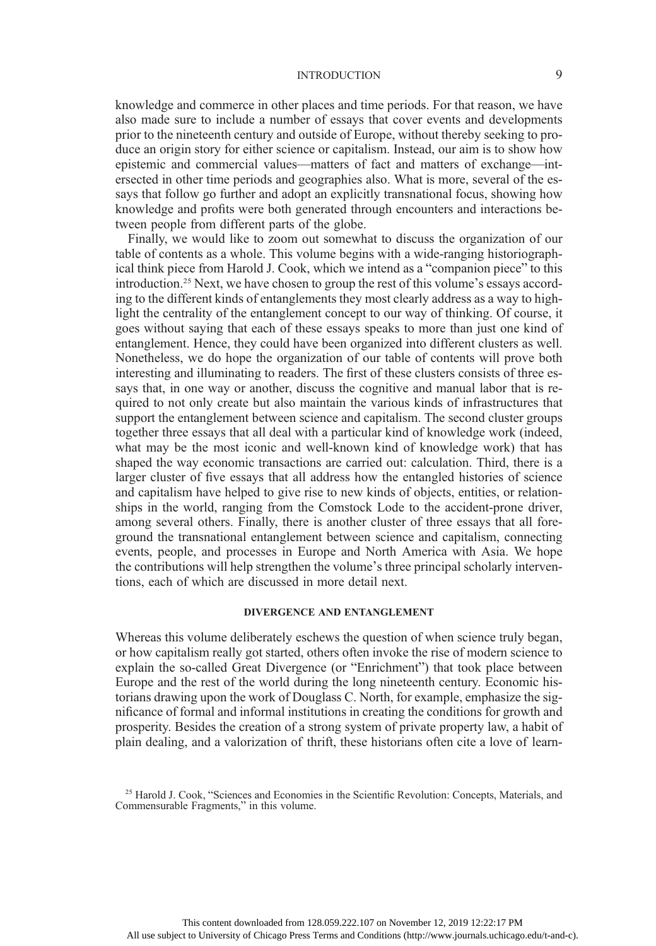knowledge and commerce in other places and time periods. For that reason, we have also made sure to include a number of essays that cover events and developments prior to the nineteenth century and outside of Europe, without thereby seeking to produce an origin story for either science or capitalism. Instead, our aim is to show how epistemic and commercial values—matters of fact and matters of exchange—intersected in other time periods and geographies also. What is more, several of the essays that follow go further and adopt an explicitly transnational focus, showing how knowledge and profits were both generated through encounters and interactions between people from different parts of the globe.

Finally, we would like to zoom out somewhat to discuss the organization of our table of contents as a whole. This volume begins with a wide-ranging historiographical think piece from Harold J. Cook, which we intend as a "companion piece" to this introduction.25 Next, we have chosen to group the rest of this volume's essays according to the different kinds of entanglements they most clearly address as a way to highlight the centrality of the entanglement concept to our way of thinking. Of course, it goes without saying that each of these essays speaks to more than just one kind of entanglement. Hence, they could have been organized into different clusters as well. Nonetheless, we do hope the organization of our table of contents will prove both interesting and illuminating to readers. The first of these clusters consists of three essays that, in one way or another, discuss the cognitive and manual labor that is required to not only create but also maintain the various kinds of infrastructures that support the entanglement between science and capitalism. The second cluster groups together three essays that all deal with a particular kind of knowledge work (indeed, what may be the most iconic and well-known kind of knowledge work) that has shaped the way economic transactions are carried out: calculation. Third, there is a larger cluster of five essays that all address how the entangled histories of science and capitalism have helped to give rise to new kinds of objects, entities, or relationships in the world, ranging from the Comstock Lode to the accident-prone driver, among several others. Finally, there is another cluster of three essays that all foreground the transnational entanglement between science and capitalism, connecting events, people, and processes in Europe and North America with Asia. We hope the contributions will help strengthen the volume's three principal scholarly interventions, each of which are discussed in more detail next.

#### DIVERGENCE AND ENTANGLEMENT

Whereas this volume deliberately eschews the question of when science truly began, or how capitalism really got started, others often invoke the rise of modern science to explain the so-called Great Divergence (or "Enrichment") that took place between Europe and the rest of the world during the long nineteenth century. Economic historians drawing upon the work of Douglass C. North, for example, emphasize the significance of formal and informal institutions in creating the conditions for growth and prosperity. Besides the creation of a strong system of private property law, a habit of plain dealing, and a valorization of thrift, these historians often cite a love of learn-

<sup>&</sup>lt;sup>25</sup> Harold J. Cook, "Sciences and Economies in the Scientific Revolution: Concepts, Materials, and Commensurable Fragments," in this volume.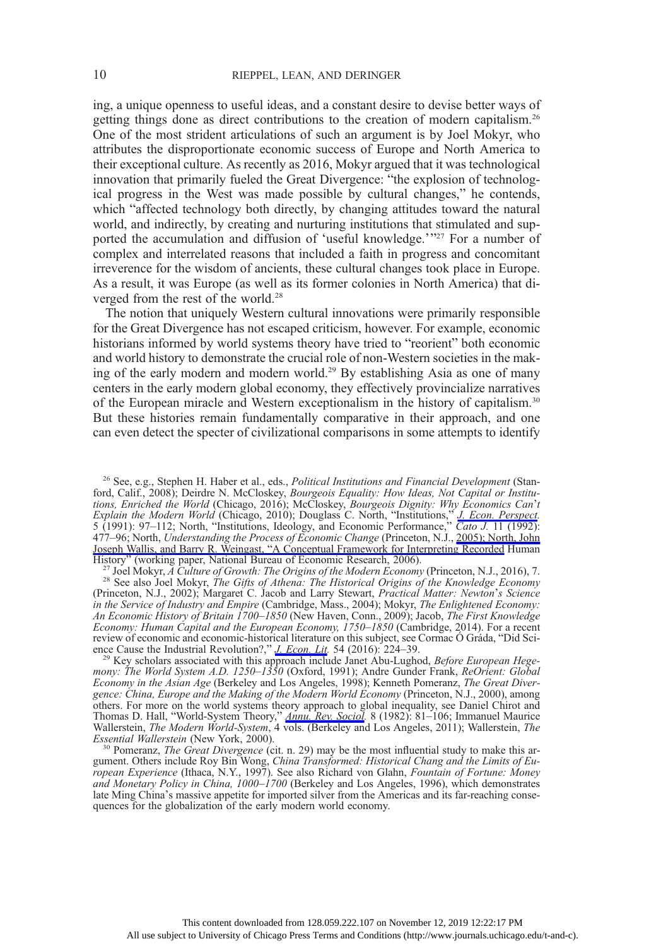ing, a unique openness to useful ideas, and a constant desire to devise better ways of getting things done as direct contributions to the creation of modern capitalism.26 One of the most strident articulations of such an argument is by Joel Mokyr, who attributes the disproportionate economic success of Europe and North America to their exceptional culture. As recently as 2016, Mokyr argued that it was technological innovation that primarily fueled the Great Divergence: "the explosion of technological progress in the West was made possible by cultural changes," he contends, which "affected technology both directly, by changing attitudes toward the natural world, and indirectly, by creating and nurturing institutions that stimulated and supported the accumulation and diffusion of 'useful knowledge.'"<sup>27</sup> For a number of complex and interrelated reasons that included a faith in progress and concomitant irreverence for the wisdom of ancients, these cultural changes took place in Europe. As a result, it was Europe (as well as its former colonies in North America) that diverged from the rest of the world.<sup>28</sup>

The notion that uniquely Western cultural innovations were primarily responsible for the Great Divergence has not escaped criticism, however. For example, economic historians informed by world systems theory have tried to "reorient" both economic and world history to demonstrate the crucial role of non-Western societies in the making of the early modern and modern world.<sup>29</sup> By establishing Asia as one of many centers in the early modern global economy, they effectively provincialize narratives of the European miracle and Western exceptionalism in the history of capitalism.30 But these histories remain fundamentally comparative in their approach, and one can even detect the specter of civilizational comparisons in some attempts to identify

<sup>26</sup> See, e.g., Stephen H. Haber et al., eds., *Political Institutions and Financial Development* (Stanford, Calif., 2008); Deirdre N. McCloskey, Bourgeois Equality: How Ideas, Not Capital or Institutions, Enriched the World (Chicago, 2016); McCloskey, Bourgeois Dignity: Why Economics Can't Explain the Modern World (Chicago, 2010); Douglass C. North, "Institutions," *[J. Econ. Perspect.](https://www.journals.uchicago.edu/action/showLinks?doi=10.1086%2F699170&crossref=10.1257%2Fjep.5.1.97&citationId=p_n_105)* 5 (1991): 97–112; North, "Institutions, Ideology, and Economic Performance," Cato J. 11 (1992): 477-96; North, Understanding the Process of Economic Change (Princeton, N.J., [2005\); North, John](https://www.journals.uchicago.edu/action/showLinks?doi=10.1086%2F699170&crossref=10.3386%2Fw12795&citationId=p_n_108) Joseph Wallis, and Barry R. Weingast, "[A Conceptual Framework for Interpreting Recorded](https://www.journals.uchicago.edu/action/showLinks?doi=10.1086%2F699170&crossref=10.3386%2Fw12795&citationId=p_n_108) Human

History" (working paper, National Bureau of Economic Research, 2006).<br><sup>27</sup> Joel Mokyr, *A Culture of Growth: The Origins of the Modern Economy* (Princeton, N.J., 2016), 7.<br><sup>28</sup> See also Joel Mokyr, *The Gifts of Athena: Th* (Princeton, N.J., 2002); Margaret C. Jacob and Larry Stewart, Practical Matter: Newton's Science in the Service of Industry and Empire (Cambridge, Mass., 2004); Mokyr, The Enlightened Economy: An Economic History of Britain 1700–1850 (New Haven, Conn., 2009); Jacob, The First Knowledge Economy: Human Capital and the European Economy, 1750–1850 (Cambridge, 2014). For a recent review of economic and economic-historical literature on this subject, see Cormac Ó Gráda, "Did Sci-

ence Cause the Industrial Revolution?," *[J. Econ. Lit](https://www.journals.uchicago.edu/action/showLinks?doi=10.1086%2F699170&crossref=10.1257%2Fjel.54.1.224&citationId=p_n_116).* 54 (2016): 224–39.<br><sup>29</sup> Key scholars associated with this approach include Janet Abu-Lughod, *Before European Hege*mony: The World System A.D. 1250–1350 (Oxford, 1991); Andre Gunder Frank, ReOrient: Global Economy in the Asian Age (Berkeley and Los Angeles, 1998); Kenneth Pomeranz, The Great Divergence: China, Europe and the Making of the Modern World Economy (Princeton, N.J., 2000), among others. For more on the world systems theory approach to global inequality, see Daniel Chirot and Thomas D. Hall, "World-System Theory," *[Annu. Rev. Sociol](https://www.journals.uchicago.edu/action/showLinks?doi=10.1086%2F699170&crossref=10.1146%2Fannurev.so.08.080182.000501&citationId=p_n_120).* 8 (1982): 81-106; Immanuel Maurice Wallerstein, The Modern World-System, 4 vols. (Berkeley and Los Angeles, 2011); Wallerstein, The Essential Wallerstein (New York, 2000).<br><sup>30</sup> Pomeranz, *The Great Divergence* (cit. n. 29) may be the most influential study to make this ar-

gument. Others include Roy Bin Wong, China Transformed: Historical Chang and the Limits of European Experience (Ithaca, N.Y., 1997). See also Richard von Glahn, Fountain of Fortune: Money and Monetary Policy in China, 1000–1700 (Berkeley and Los Angeles, 1996), which demonstrates late Ming China's massive appetite for imported silver from the Americas and its far-reaching consequences for the globalization of the early modern world economy.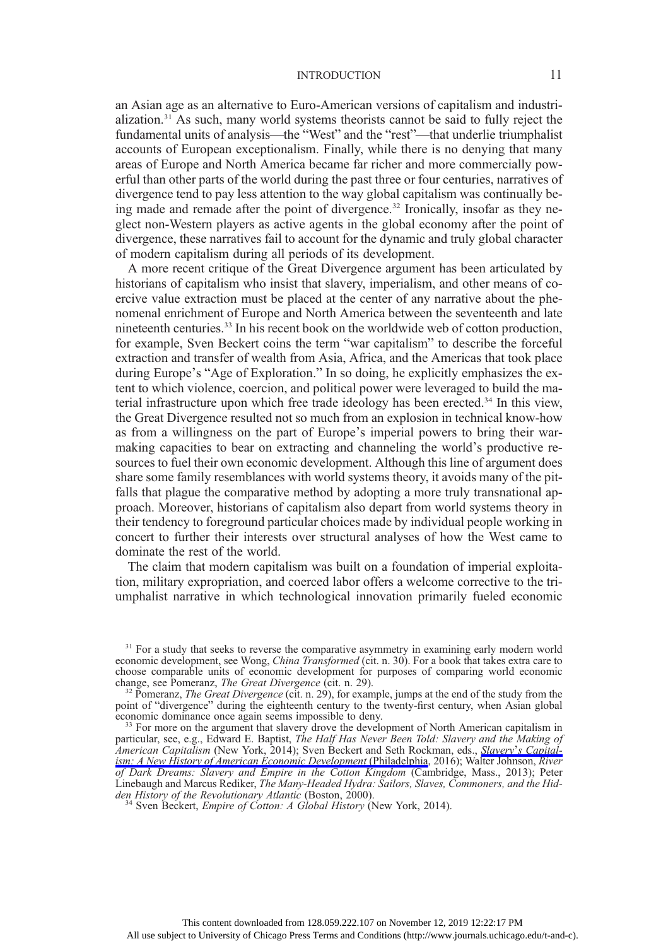an Asian age as an alternative to Euro-American versions of capitalism and industrialization.31 As such, many world systems theorists cannot be said to fully reject the fundamental units of analysis—the "West" and the "rest"—that underlie triumphalist accounts of European exceptionalism. Finally, while there is no denying that many areas of Europe and North America became far richer and more commercially powerful than other parts of the world during the past three or four centuries, narratives of divergence tend to pay less attention to the way global capitalism was continually being made and remade after the point of divergence.<sup>32</sup> Ironically, insofar as they neglect non-Western players as active agents in the global economy after the point of divergence, these narratives fail to account for the dynamic and truly global character of modern capitalism during all periods of its development.

A more recent critique of the Great Divergence argument has been articulated by historians of capitalism who insist that slavery, imperialism, and other means of coercive value extraction must be placed at the center of any narrative about the phenomenal enrichment of Europe and North America between the seventeenth and late nineteenth centuries.33 In his recent book on the worldwide web of cotton production, for example, Sven Beckert coins the term "war capitalism" to describe the forceful extraction and transfer of wealth from Asia, Africa, and the Americas that took place during Europe's "Age of Exploration." In so doing, he explicitly emphasizes the extent to which violence, coercion, and political power were leveraged to build the material infrastructure upon which free trade ideology has been erected.<sup>34</sup> In this view, the Great Divergence resulted not so much from an explosion in technical know-how as from a willingness on the part of Europe's imperial powers to bring their warmaking capacities to bear on extracting and channeling the world's productive resources to fuel their own economic development. Although this line of argument does share some family resemblances with world systems theory, it avoids many of the pitfalls that plague the comparative method by adopting a more truly transnational approach. Moreover, historians of capitalism also depart from world systems theory in their tendency to foreground particular choices made by individual people working in concert to further their interests over structural analyses of how the West came to dominate the rest of the world.

The claim that modern capitalism was built on a foundation of imperial exploitation, military expropriation, and coerced labor offers a welcome corrective to the triumphalist narrative in which technological innovation primarily fueled economic

 $31$  For a study that seeks to reverse the comparative asymmetry in examining early modern world economic development, see Wong, *China Transformed* (cit. n. 30). For a book that takes extra care to choose comparable units of economic development for purposes of comparing world economic change, see Pomeranz, The Great Divergence (cit. n. 29).

<sup>&</sup>lt;sup>32</sup> Pomeranz, The Great Divergence (cit. n. 29), for example, jumps at the end of the study from the point of "divergence" during the eighteenth century to the twenty-first century, when Asian global economic dominance once again seems impossible to deny.

 $^{33}$  For more on the argument that slavery drove the development of North American capitalism in particular, see, e.g., Edward E. Baptist, The Half Has Never Been Told: Slavery and the Making of American Capitalism (New York, 2014); Sven Beckert and Seth Rockman, eds., **Slavery'[s Capital](https://www.journals.uchicago.edu/action/showLinks?doi=10.1086%2F699170&crossref=10.9783%2F9780812293098&citationId=p_n_130)**[ism: A New History of American Economic Development](https://www.journals.uchicago.edu/action/showLinks?doi=10.1086%2F699170&crossref=10.9783%2F9780812293098&citationId=p_n_130) (Philadelphia, 2016); Walter Johnson, River of Dark Dreams: Slavery and Empire in the Cotton Kingdom (Cambridge, Mass., 2013); Peter Linebaugh and Marcus Rediker, The Many-Headed Hydra: Sailors, Slaves, Commoners, and the Hidden History of the Revolutionary Atlantic (Boston, 2000).<br><sup>34</sup> Sven Beckert, *Empire of Cotton: A Global History* (New York, 2014).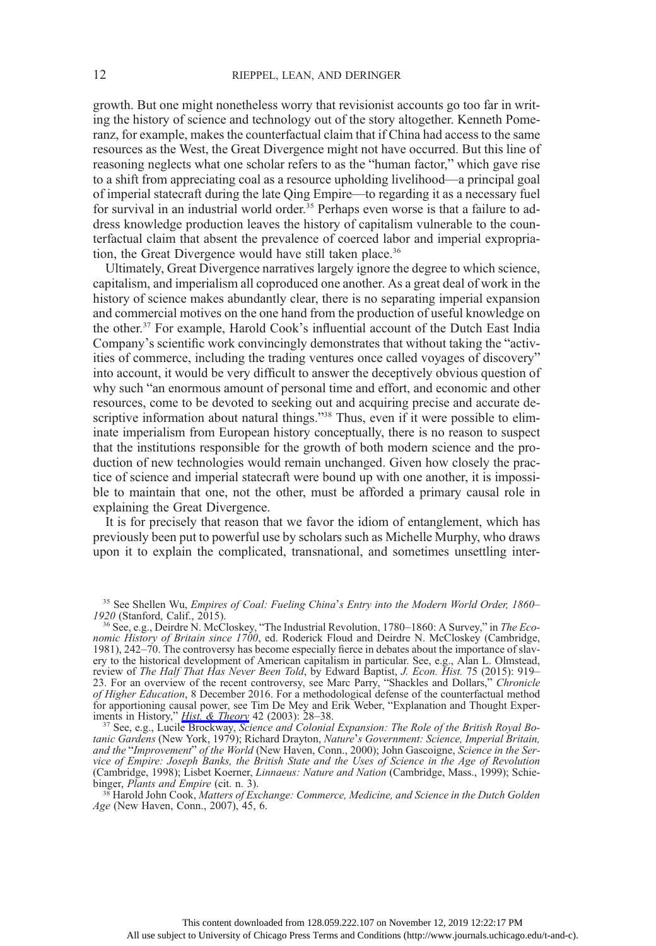growth. But one might nonetheless worry that revisionist accounts go too far in writing the history of science and technology out of the story altogether. Kenneth Pomeranz, for example, makes the counterfactual claim that if China had access to the same resources as the West, the Great Divergence might not have occurred. But this line of reasoning neglects what one scholar refers to as the "human factor," which gave rise to a shift from appreciating coal as a resource upholding livelihood—a principal goal of imperial statecraft during the late Qing Empire—to regarding it as a necessary fuel for survival in an industrial world order.<sup>35</sup> Perhaps even worse is that a failure to address knowledge production leaves the history of capitalism vulnerable to the counterfactual claim that absent the prevalence of coerced labor and imperial expropriation, the Great Divergence would have still taken place.<sup>36</sup>

Ultimately, Great Divergence narratives largely ignore the degree to which science, capitalism, and imperialism all coproduced one another. As a great deal of work in the history of science makes abundantly clear, there is no separating imperial expansion and commercial motives on the one hand from the production of useful knowledge on the other.37 For example, Harold Cook's influential account of the Dutch East India Company's scientific work convincingly demonstrates that without taking the "activities of commerce, including the trading ventures once called voyages of discovery" into account, it would be very difficult to answer the deceptively obvious question of why such "an enormous amount of personal time and effort, and economic and other resources, come to be devoted to seeking out and acquiring precise and accurate descriptive information about natural things."<sup>38</sup> Thus, even if it were possible to eliminate imperialism from European history conceptually, there is no reason to suspect that the institutions responsible for the growth of both modern science and the production of new technologies would remain unchanged. Given how closely the practice of science and imperial statecraft were bound up with one another, it is impossible to maintain that one, not the other, must be afforded a primary causal role in explaining the Great Divergence.

It is for precisely that reason that we favor the idiom of entanglement, which has previously been put to powerful use by scholars such as Michelle Murphy, who draws upon it to explain the complicated, transnational, and sometimes unsettling inter-

tanic Gardens (New York, 1979); Richard Drayton, Nature's Government: Science, Imperial Britain, and the "Improvement" of the World (New Haven, Conn., 2000); John Gascoigne, Science in the Service of Empire: Joseph Banks, the British State and the Uses of Science in the Age of Revolution (Cambridge, 1998); Lisbet Koerner, *Linnaeus: Nature and Nation* (Cambridge, Mass., 1999); Schie-binger, *Plants and Empire* (cit. n. 3).

<sup>38</sup> Harold John Cook, Matters of Exchange: Commerce, Medicine, and Science in the Dutch Golden Age (New Haven, Conn., 2007), 45, 6.

<sup>&</sup>lt;sup>35</sup> See Shellen Wu, *Empires of Coal: Fueling China's Entry into the Modern World Order, 1860–1920* (Stanford, Calif., 2015).

<sup>&</sup>lt;sup>36</sup> See, e.g., Deirdre N. McCloskey, "The Industrial Revolution, 1780–1860: A Survey," in *The Eco*nomic History of Britain since 1700, ed. Roderick Floud and Deirdre N. McCloskey (Cambridge, 1981), 242–70. The controversy has become especially fierce in debates about the importance of slavery to the historical development of American capitalism in particular. See, e.g., Alan L. Olmstead, review of The Half That Has Never Been Told, by Edward Baptist, J. Econ. Hist. 75 (2015): 919– 23. For an overview of the recent controversy, see Marc Parry, "Shackles and Dollars," Chronicle of Higher Education, 8 December 2016. For a methodological defense of the counterfactual method for apportioning causal power, see Tim De Mey and Erik Weber, "Explanation and Thought Exper-iments in History," [Hist. & Theory](https://www.journals.uchicago.edu/action/showLinks?doi=10.1086%2F699170&crossref=10.1111%2F1468-2303.00227&citationId=p_n_138) 42 (2003): 28–38.<br><sup>37</sup> See, e.g., Lucile Brockway, Science and Colonial Expansion: The Role of the British Royal Bo-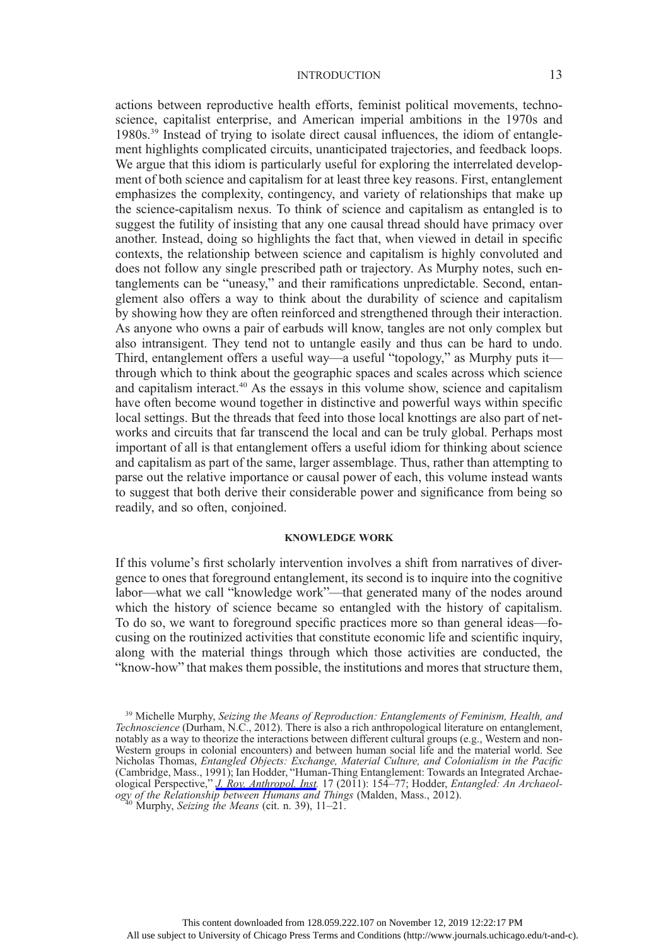actions between reproductive health efforts, feminist political movements, technoscience, capitalist enterprise, and American imperial ambitions in the 1970s and 1980s.39 Instead of trying to isolate direct causal influences, the idiom of entanglement highlights complicated circuits, unanticipated trajectories, and feedback loops. We argue that this idiom is particularly useful for exploring the interrelated development of both science and capitalism for at least three key reasons. First, entanglement emphasizes the complexity, contingency, and variety of relationships that make up the science-capitalism nexus. To think of science and capitalism as entangled is to suggest the futility of insisting that any one causal thread should have primacy over another. Instead, doing so highlights the fact that, when viewed in detail in specific contexts, the relationship between science and capitalism is highly convoluted and does not follow any single prescribed path or trajectory. As Murphy notes, such entanglements can be "uneasy," and their ramifications unpredictable. Second, entanglement also offers a way to think about the durability of science and capitalism by showing how they are often reinforced and strengthened through their interaction. As anyone who owns a pair of earbuds will know, tangles are not only complex but also intransigent. They tend not to untangle easily and thus can be hard to undo. Third, entanglement offers a useful way—a useful "topology," as Murphy puts it through which to think about the geographic spaces and scales across which science and capitalism interact.<sup>40</sup> As the essays in this volume show, science and capitalism have often become wound together in distinctive and powerful ways within specific local settings. But the threads that feed into those local knottings are also part of networks and circuits that far transcend the local and can be truly global. Perhaps most important of all is that entanglement offers a useful idiom for thinking about science and capitalism as part of the same, larger assemblage. Thus, rather than attempting to parse out the relative importance or causal power of each, this volume instead wants to suggest that both derive their considerable power and significance from being so readily, and so often, conjoined.

#### KNOWLEDGE WORK

If this volume's first scholarly intervention involves a shift from narratives of divergence to ones that foreground entanglement, its second is to inquire into the cognitive labor—what we call "knowledge work"—that generated many of the nodes around which the history of science became so entangled with the history of capitalism. To do so, we want to foreground specific practices more so than general ideas—focusing on the routinized activities that constitute economic life and scientific inquiry, along with the material things through which those activities are conducted, the "know-how" that makes them possible, the institutions and mores that structure them,

<sup>&</sup>lt;sup>39</sup> Michelle Murphy, Seizing the Means of Reproduction: Entanglements of Feminism, Health, and Technoscience (Durham, N.C., 2012). There is also a rich anthropological literature on entanglement, notably as a way to theorize the interactions between different cultural groups (e.g., Western and non-Western groups in colonial encounters) and between human social life and the material world. See Nicholas Thomas, Entangled Objects: Exchange, Material Culture, and Colonialism in the Pacific (Cambridge, Mass., 1991); Ian Hodder, "Human-Thing Entanglement: Towards an Integrated Archaeological Perspective," *[J. Roy. Anthropol. Inst.](https://www.journals.uchicago.edu/action/showLinks?doi=10.1086%2F699170&crossref=10.1111%2Fj.1467-9655.2010.01674.x&citationId=p_n_147)* 17 (2011): 154–77; Hodder, Entangled: An Archaeology of the Relationship between Humans and Things (Malden, Mass., 2012). <sup>40</sup> Murphy, *Seizing the Means* (cit. n. 39), 11–21.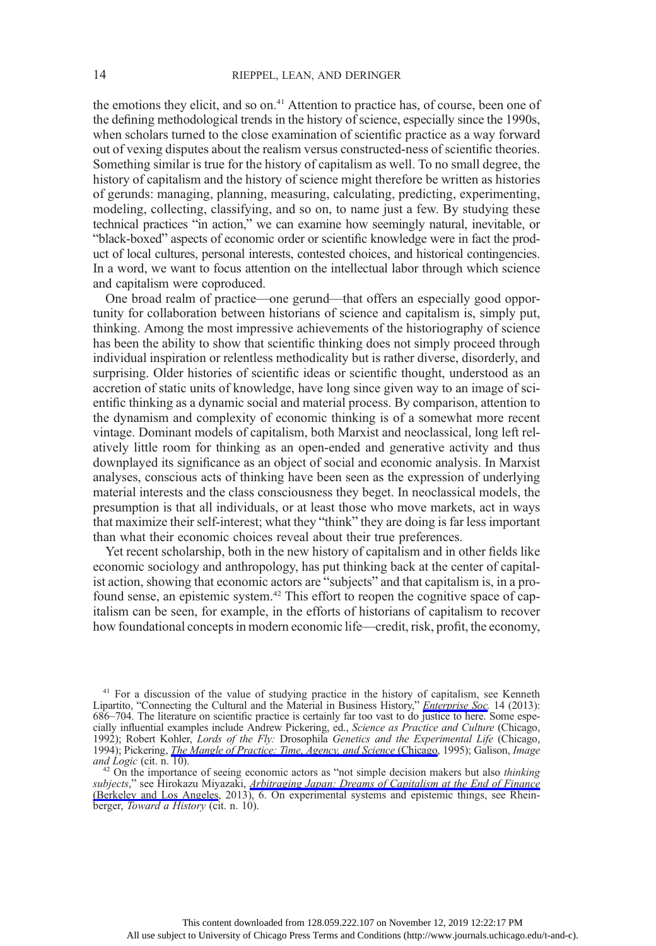the emotions they elicit, and so on.<sup>41</sup> Attention to practice has, of course, been one of the defining methodological trends in the history of science, especially since the 1990s, when scholars turned to the close examination of scientific practice as a way forward out of vexing disputes about the realism versus constructed-ness of scientific theories. Something similar is true for the history of capitalism as well. To no small degree, the history of capitalism and the history of science might therefore be written as histories of gerunds: managing, planning, measuring, calculating, predicting, experimenting, modeling, collecting, classifying, and so on, to name just a few. By studying these technical practices "in action," we can examine how seemingly natural, inevitable, or "black-boxed" aspects of economic order or scientific knowledge were in fact the product of local cultures, personal interests, contested choices, and historical contingencies. In a word, we want to focus attention on the intellectual labor through which science and capitalism were coproduced.

One broad realm of practice—one gerund—that offers an especially good opportunity for collaboration between historians of science and capitalism is, simply put, thinking. Among the most impressive achievements of the historiography of science has been the ability to show that scientific thinking does not simply proceed through individual inspiration or relentless methodicality but is rather diverse, disorderly, and surprising. Older histories of scientific ideas or scientific thought, understood as an accretion of static units of knowledge, have long since given way to an image of scientific thinking as a dynamic social and material process. By comparison, attention to the dynamism and complexity of economic thinking is of a somewhat more recent vintage. Dominant models of capitalism, both Marxist and neoclassical, long left relatively little room for thinking as an open-ended and generative activity and thus downplayed its significance as an object of social and economic analysis. In Marxist analyses, conscious acts of thinking have been seen as the expression of underlying material interests and the class consciousness they beget. In neoclassical models, the presumption is that all individuals, or at least those who move markets, act in ways that maximize their self-interest; what they "think" they are doing is far less important than what their economic choices reveal about their true preferences.

Yet recent scholarship, both in the new history of capitalism and in other fields like economic sociology and anthropology, has put thinking back at the center of capitalist action, showing that economic actors are "subjects" and that capitalism is, in a profound sense, an epistemic system.42 This effort to reopen the cognitive space of capitalism can be seen, for example, in the efforts of historians of capitalism to recover how foundational concepts in modern economic life—credit, risk, profit, the economy,

<sup>&</sup>lt;sup>41</sup> For a discussion of the value of studying practice in the history of capitalism, see Kenneth Lipartito, "Connecting the Cultural and the Material in Business History," *[Enterprise Soc.](https://www.journals.uchicago.edu/action/showLinks?doi=10.1086%2F699170&crossref=10.1093%2Fes%2Fkht092&citationId=p_n_151)* 14 (2013): 686–704. The literature on scientific practice is certainly far too vast to do justice to here. Some especially influential examples include Andrew Pickering, ed., Science as Practice and Culture (Chicago, 1992); Robert Kohler, Lords of the Fly: Drosophila Genetics and the Experimental Life (Chicago, 1994); Pickering, *[The Mangle of Practice: Time, Agency, and Science](https://www.journals.uchicago.edu/action/showLinks?doi=10.1086%2F699170&crossref=10.7208%2Fchicago%2F9780226668253.001.0001&citationId=p_n_153)* (Chicago, 1995); Galison, Image and Logic (cit. n. 10).  $42$  On the importance of seeing economic actors as "not simple decision makers but also *thinking* 

subjects," see Hirokazu Miyazaki, [Arbitraging Japan: Dreams of Capitalism at the End of Finance](https://www.journals.uchicago.edu/action/showLinks?doi=10.1086%2F699170&crossref=10.1525%2Fcalifornia%2F9780520273474.001.0001&citationId=p_n_156) [\(Berkeley and Los Angeles,](https://www.journals.uchicago.edu/action/showLinks?doi=10.1086%2F699170&crossref=10.1525%2Fcalifornia%2F9780520273474.001.0001&citationId=p_n_156) 2013), 6. On experimental systems and epistemic things, see Rheinberger, Toward a History (cit. n. 10).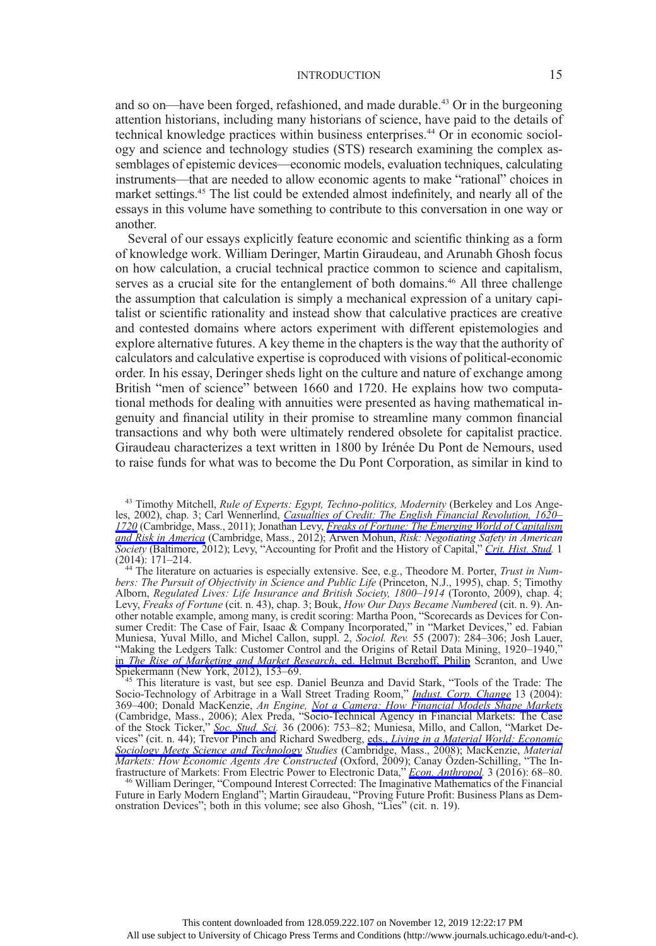and so on—have been forged, refashioned, and made durable.<sup>43</sup> Or in the burgeoning attention historians, including many historians of science, have paid to the details of technical knowledge practices within business enterprises.44 Or in economic sociology and science and technology studies (STS) research examining the complex assemblages of epistemic devices—economic models, evaluation techniques, calculating instruments—that are needed to allow economic agents to make "rational" choices in market settings.<sup>45</sup> The list could be extended almost indefinitely, and nearly all of the essays in this volume have something to contribute to this conversation in one way or another.

Several of our essays explicitly feature economic and scientific thinking as a form of knowledge work. William Deringer, Martin Giraudeau, and Arunabh Ghosh focus on how calculation, a crucial technical practice common to science and capitalism, serves as a crucial site for the entanglement of both domains.<sup>46</sup> All three challenge the assumption that calculation is simply a mechanical expression of a unitary capitalist or scientific rationality and instead show that calculative practices are creative and contested domains where actors experiment with different epistemologies and explore alternative futures. A key theme in the chapters is the way that the authority of calculators and calculative expertise is coproduced with visions of political-economic order. In his essay, Deringer sheds light on the culture and nature of exchange among British "men of science" between 1660 and 1720. He explains how two computational methods for dealing with annuities were presented as having mathematical ingenuity and financial utility in their promise to streamline many common financial transactions and why both were ultimately rendered obsolete for capitalist practice. Giraudeau characterizes a text written in 1800 by Irénée Du Pont de Nemours, used to raise funds for what was to become the Du Pont Corporation, as similar in kind to

(2014): 171–214. <sup>44</sup> The literature on actuaries is especially extensive. See, e.g., Theodore M. Porter, Trust in Numbers: The Pursuit of Objectivity in Science and Public Life (Princeton, N.J., 1995), chap. 5; Timothy Alborn, Regulated Lives: Life Insurance and British Society, 1800–1914 (Toronto, 2009), chap. 4; Levy, Freaks of Fortune (cit. n. 43), chap. 3; Bouk, How Our Days Became Numbered (cit. n. 9). Another notable example, among many, is credit scoring: Martha Poon, "Scorecards as Devices for Consumer Credit: The Case of Fair, Isaac & Company Incorporated," in "Market Devices," ed. Fabian Muniesa, Yuval Millo, and Michel Callon, suppl. 2, Sociol. Rev. 55 (2007): 284–306; Josh Lauer, "Making the Ledgers Talk: Customer Control and the Origins of Retail Data Mining, 1920–1940, in *[The Rise of Marketing and Market Research](https://www.journals.uchicago.edu/action/showLinks?doi=10.1086%2F699170&crossref=10.1057%2F9781137071286_7&citationId=p_n_168)*, ed. Helmut Berghoff, Philip Scranton, and Uwe<br>Spiekermann (New York, 2012), 153–69.

Spiekermann (New York, 2012), 153–69.<br><sup>45</sup> This literature is vast, but see esp. Daniel Beunza and David Stark, "Tools of the Trade: The Socio-Technology of Arbitrage in a Wall Street Trading Room," *[Indust. Corp. Change](https://www.journals.uchicago.edu/action/showLinks?doi=10.1086%2F699170&crossref=10.1093%2Ficc%2Fdth015&citationId=p_n_170)* 13 (2004): 369–400; Donald MacKenzie, An Engine, [Not a Camera: How Financial Models Shape Markets](https://www.journals.uchicago.edu/action/showLinks?doi=10.1086%2F699170&crossref=10.7551%2Fmitpress%2F9780262134606.001.0001&citationId=p_n_171) (Cambridge, Mass., 2006); Alex Preda, "Socio-Technical Agency in Financial Markets: The Case of the Stock Ticker," [Soc. Stud. Sci](https://www.journals.uchicago.edu/action/showLinks?doi=10.1086%2F699170&crossref=10.1177%2F0306312706059543&citationId=p_n_172). 36 (2006): 753–82; Muniesa, Millo, and Callon, "Market Devices" (cit. n. 44); Trevor Pinch and Richard Swedberg, eds., *[Living in a Material World: Economic](https://www.journals.uchicago.edu/action/showLinks?doi=10.1086%2F699170&crossref=10.7551%2Fmitpress%2F9780262162524.001.0001&citationId=p_n_174)* [Sociology Meets Science and Technology](https://www.journals.uchicago.edu/action/showLinks?doi=10.1086%2F699170&crossref=10.7551%2Fmitpress%2F9780262162524.001.0001&citationId=p_n_174) Studies (Cambridge, Mass., 2008); MacKenzie, Material *Markets: How Economic Agents Are Constructed* (Oxford, 2009); Canay Özden-Schilling, "The Infrastructure of Markets: From Electric Power to Electronic Data," *Econ. Anthropol.* 3 (2016): 68–80.

<sup>46</sup> William Deringer, "Compound Interest Corrected: The Imaginative Mathematics of the Financial Future in Early Modern England"; Martin Giraudeau, "Proving Future Profit: Business Plans as Demonstration Devices"; both in this volume; see also Ghosh, "Lies" (cit. n. 19).

<sup>&</sup>lt;sup>43</sup> Timothy Mitchell, *Rule of Experts: Egypt, Techno-politics, Modernity* (Berkeley and Los Ange-les, 2002), chap. 3; Carl Wennerlind, [Casualties of Credit: The English Financial Revolution, 1620](https://www.journals.uchicago.edu/action/showLinks?doi=10.1086%2F699170&crossref=10.4159%2Fharvard.9780674062665&citationId=p_n_159)– [1720](https://www.journals.uchicago.edu/action/showLinks?doi=10.1086%2F699170&crossref=10.4159%2Fharvard.9780674062665&citationId=p_n_159) (Cambridge, Mass., 2011); Jonathan Levy, *[Freaks of Fortune: The Emerging World of Capitalism](https://www.journals.uchicago.edu/action/showLinks?doi=10.1086%2F699170&crossref=10.4159%2Fharvard.9780674067202&citationId=p_n_160)* [and Risk in America](https://www.journals.uchicago.edu/action/showLinks?doi=10.1086%2F699170&crossref=10.4159%2Fharvard.9780674067202&citationId=p_n_160) (Cambridge, Mass., 2012); Arwen Mohun, Risk: Negotiating Safety in American Society (Baltimore, 2012); Levy, "Accounting for Profit and the History of Capital," [Crit. Hist. Stud.](https://www.journals.uchicago.edu/action/showLinks?doi=10.1086%2F699170&system=10.1086%2F677977&citationId=p_n_162) 1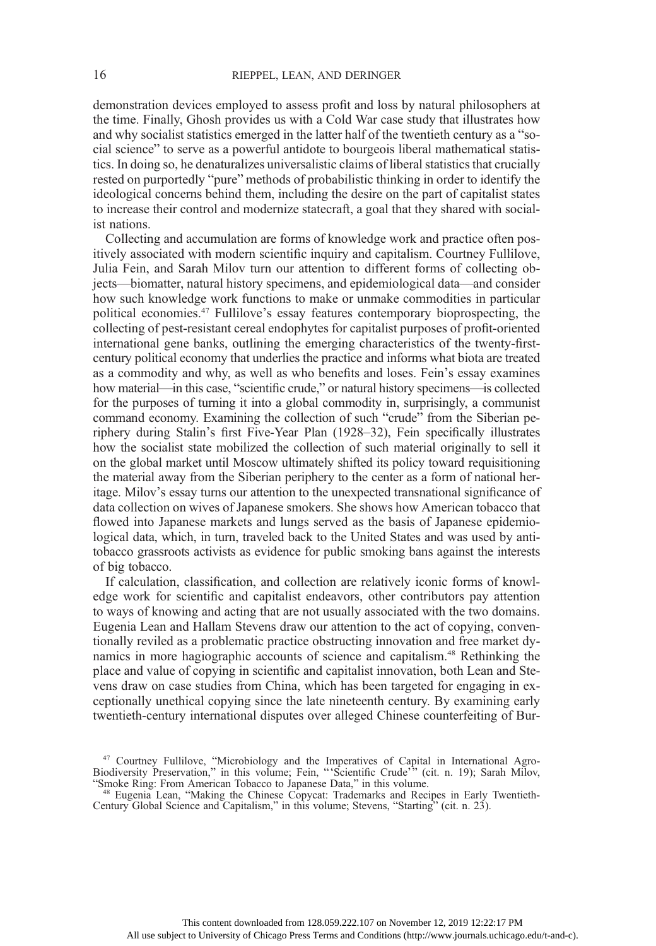demonstration devices employed to assess profit and loss by natural philosophers at the time. Finally, Ghosh provides us with a Cold War case study that illustrates how and why socialist statistics emerged in the latter half of the twentieth century as a "social science" to serve as a powerful antidote to bourgeois liberal mathematical statistics. In doing so, he denaturalizes universalistic claims of liberal statistics that crucially rested on purportedly "pure" methods of probabilistic thinking in order to identify the ideological concerns behind them, including the desire on the part of capitalist states to increase their control and modernize statecraft, a goal that they shared with socialist nations.

Collecting and accumulation are forms of knowledge work and practice often positively associated with modern scientific inquiry and capitalism. Courtney Fullilove, Julia Fein, and Sarah Milov turn our attention to different forms of collecting objects—biomatter, natural history specimens, and epidemiological data—and consider how such knowledge work functions to make or unmake commodities in particular political economies.47 Fullilove's essay features contemporary bioprospecting, the collecting of pest-resistant cereal endophytes for capitalist purposes of profit-oriented international gene banks, outlining the emerging characteristics of the twenty-firstcentury political economy that underlies the practice and informs what biota are treated as a commodity and why, as well as who benefits and loses. Fein's essay examines how material—in this case, "scientific crude," or natural history specimens—is collected for the purposes of turning it into a global commodity in, surprisingly, a communist command economy. Examining the collection of such "crude" from the Siberian periphery during Stalin's first Five-Year Plan (1928–32), Fein specifically illustrates how the socialist state mobilized the collection of such material originally to sell it on the global market until Moscow ultimately shifted its policy toward requisitioning the material away from the Siberian periphery to the center as a form of national heritage. Milov's essay turns our attention to the unexpected transnational significance of data collection on wives of Japanese smokers. She shows how American tobacco that flowed into Japanese markets and lungs served as the basis of Japanese epidemiological data, which, in turn, traveled back to the United States and was used by antitobacco grassroots activists as evidence for public smoking bans against the interests of big tobacco.

If calculation, classification, and collection are relatively iconic forms of knowledge work for scientific and capitalist endeavors, other contributors pay attention to ways of knowing and acting that are not usually associated with the two domains. Eugenia Lean and Hallam Stevens draw our attention to the act of copying, conventionally reviled as a problematic practice obstructing innovation and free market dynamics in more hagiographic accounts of science and capitalism.48 Rethinking the place and value of copying in scientific and capitalist innovation, both Lean and Stevens draw on case studies from China, which has been targeted for engaging in exceptionally unethical copying since the late nineteenth century. By examining early twentieth-century international disputes over alleged Chinese counterfeiting of Bur-

<sup>&</sup>lt;sup>47</sup> Courtney Fullilove, "Microbiology and the Imperatives of Capital in International Agro-Biodiversity Preservation," in this volume; Fein, " 'Scientific Crude' " (cit. n. 19); Sarah Milov, "Smoke Ring: From American Tobacco to Japanese Data," in this volume. <sup>48</sup> Eugenia Lean, "Making the Chinese Copycat: Trademarks and Recipes in Early Twentieth-

Century Global Science and Capitalism," in this volume; Stevens, "Starting" (cit. n. 23).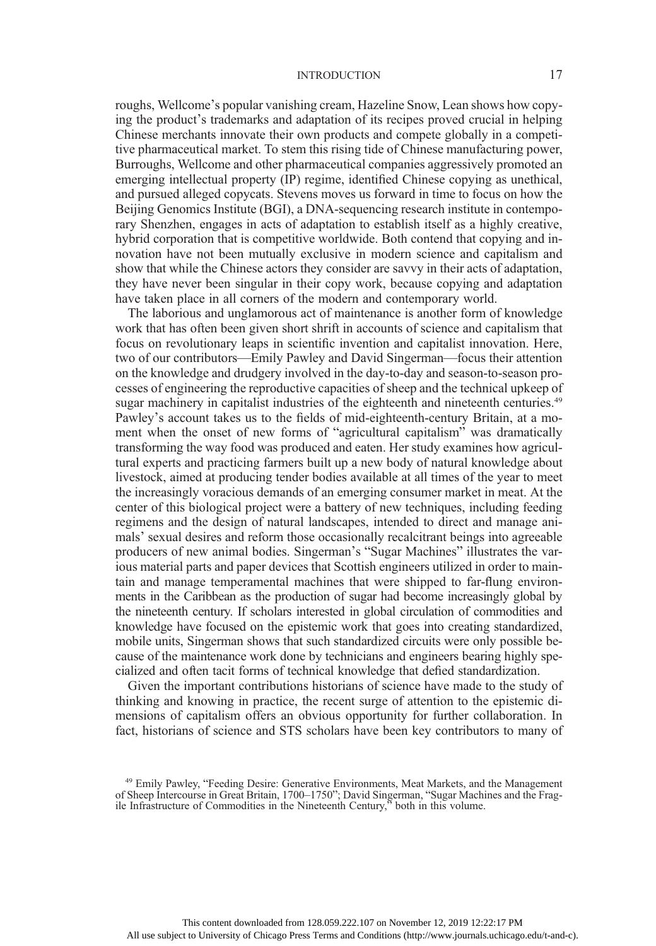roughs, Wellcome's popular vanishing cream, Hazeline Snow, Lean shows how copying the product's trademarks and adaptation of its recipes proved crucial in helping Chinese merchants innovate their own products and compete globally in a competitive pharmaceutical market. To stem this rising tide of Chinese manufacturing power, Burroughs, Wellcome and other pharmaceutical companies aggressively promoted an emerging intellectual property (IP) regime, identified Chinese copying as unethical, and pursued alleged copycats. Stevens moves us forward in time to focus on how the Beijing Genomics Institute (BGI), a DNA-sequencing research institute in contemporary Shenzhen, engages in acts of adaptation to establish itself as a highly creative, hybrid corporation that is competitive worldwide. Both contend that copying and innovation have not been mutually exclusive in modern science and capitalism and show that while the Chinese actors they consider are savvy in their acts of adaptation, they have never been singular in their copy work, because copying and adaptation have taken place in all corners of the modern and contemporary world.

The laborious and unglamorous act of maintenance is another form of knowledge work that has often been given short shrift in accounts of science and capitalism that focus on revolutionary leaps in scientific invention and capitalist innovation. Here, two of our contributors—Emily Pawley and David Singerman—focus their attention on the knowledge and drudgery involved in the day-to-day and season-to-season processes of engineering the reproductive capacities of sheep and the technical upkeep of sugar machinery in capitalist industries of the eighteenth and nineteenth centuries.<sup>49</sup> Pawley's account takes us to the fields of mid-eighteenth-century Britain, at a moment when the onset of new forms of "agricultural capitalism" was dramatically transforming the way food was produced and eaten. Her study examines how agricultural experts and practicing farmers built up a new body of natural knowledge about livestock, aimed at producing tender bodies available at all times of the year to meet the increasingly voracious demands of an emerging consumer market in meat. At the center of this biological project were a battery of new techniques, including feeding regimens and the design of natural landscapes, intended to direct and manage animals' sexual desires and reform those occasionally recalcitrant beings into agreeable producers of new animal bodies. Singerman's "Sugar Machines" illustrates the various material parts and paper devices that Scottish engineers utilized in order to maintain and manage temperamental machines that were shipped to far-flung environments in the Caribbean as the production of sugar had become increasingly global by the nineteenth century. If scholars interested in global circulation of commodities and knowledge have focused on the epistemic work that goes into creating standardized, mobile units, Singerman shows that such standardized circuits were only possible because of the maintenance work done by technicians and engineers bearing highly specialized and often tacit forms of technical knowledge that defied standardization.

Given the important contributions historians of science have made to the study of thinking and knowing in practice, the recent surge of attention to the epistemic dimensions of capitalism offers an obvious opportunity for further collaboration. In fact, historians of science and STS scholars have been key contributors to many of

<sup>49</sup> Emily Pawley, "Feeding Desire: Generative Environments, Meat Markets, and the Management of Sheep Intercourse in Great Britain, 1700–1750"; David Singerman, "Sugar Machines and the Fragile Infrastructure of Commodities in the Nineteenth Century," both in this volume.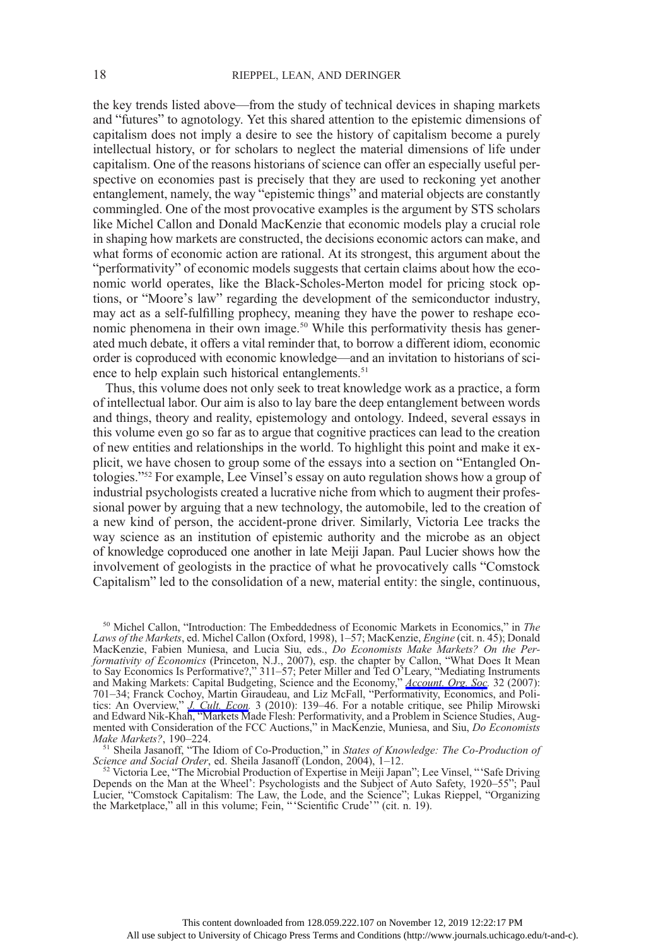the key trends listed above—from the study of technical devices in shaping markets and "futures" to agnotology. Yet this shared attention to the epistemic dimensions of capitalism does not imply a desire to see the history of capitalism become a purely intellectual history, or for scholars to neglect the material dimensions of life under capitalism. One of the reasons historians of science can offer an especially useful perspective on economies past is precisely that they are used to reckoning yet another entanglement, namely, the way "epistemic things" and material objects are constantly commingled. One of the most provocative examples is the argument by STS scholars like Michel Callon and Donald MacKenzie that economic models play a crucial role in shaping how markets are constructed, the decisions economic actors can make, and what forms of economic action are rational. At its strongest, this argument about the "performativity" of economic models suggests that certain claims about how the economic world operates, like the Black-Scholes-Merton model for pricing stock options, or "Moore's law" regarding the development of the semiconductor industry, may act as a self-fulfilling prophecy, meaning they have the power to reshape economic phenomena in their own image.<sup>50</sup> While this performativity thesis has generated much debate, it offers a vital reminder that, to borrow a different idiom, economic order is coproduced with economic knowledge—and an invitation to historians of science to help explain such historical entanglements.<sup>51</sup>

Thus, this volume does not only seek to treat knowledge work as a practice, a form of intellectual labor. Our aim is also to lay bare the deep entanglement between words and things, theory and reality, epistemology and ontology. Indeed, several essays in this volume even go so far as to argue that cognitive practices can lead to the creation of new entities and relationships in the world. To highlight this point and make it explicit, we have chosen to group some of the essays into a section on "Entangled Ontologies."<sup>52</sup> For example, Lee Vinsel's essay on auto regulation shows how a group of industrial psychologists created a lucrative niche from which to augment their professional power by arguing that a new technology, the automobile, led to the creation of a new kind of person, the accident-prone driver. Similarly, Victoria Lee tracks the way science as an institution of epistemic authority and the microbe as an object of knowledge coproduced one another in late Meiji Japan. Paul Lucier shows how the involvement of geologists in the practice of what he provocatively calls "Comstock Capitalism" led to the consolidation of a new, material entity: the single, continuous,

<sup>52</sup> Victoria Lee, "The Microbial Production of Expertise in Meiji Japan"; Lee Vinsel, "'Safe Driving Depends on the Man at the Wheel': Psychologists and the Subject of Auto Safety, 1920–55"; Paul Lucier, "Comstock Capitalism: The Law, the Lode, and the Science"; Lukas Rieppel, "Organizing the Marketplace," all in this volume; Fein, "'Scientific Crude'" (cit. n. 19).

<sup>&</sup>lt;sup>50</sup> Michel Callon, "Introduction: The Embeddedness of Economic Markets in Economics," in The Laws of the Markets, ed. Michel Callon (Oxford, 1998), 1–57; MacKenzie, Engine (cit. n. 45); Donald MacKenzie, Fabien Muniesa, and Lucia Siu, eds., Do Economists Make Markets? On the Performativity of Economics (Princeton, N.J., 2007), esp. the chapter by Callon, "What Does It Mean to Say Economics Is Performative?," 311–57; Peter Miller and Ted O'Leary, "Mediating Instruments and Making Markets: Capital Budgeting, Science and the Economy," *[Account. Org. Soc](https://www.journals.uchicago.edu/action/showLinks?doi=10.1086%2F699170&crossref=10.1016%2Fj.aos.2007.02.003&citationId=p_n_188).* 32 (2007): 701–34; Franck Cochoy, Martin Giraudeau, and Liz McFall, "Performativity, Economics, and Politics: An Overview," *[J. Cult. Econ](https://www.journals.uchicago.edu/action/showLinks?doi=10.1086%2F699170&crossref=10.1080%2F17530350.2010.494116&citationId=p_n_189).* 3 (2010): 139–46. For a notable critique, see Philip Mirowski and Edward Nik-Khah, "Markets Made Flesh: Performativity, and a Problem in Science Studies, Augmented with Consideration of the FCC Auctions," in MacKenzie, Muniesa, and Siu, Do Economists

Make Markets?, 190–224.<br>
<sup>51</sup> Sheila Jasanoff, "The Idiom of Co-Production," in *States of Knowledge: The Co-Production of*<br> *Science and Social Order*, ed. Sheila Jasanoff (London, 2004), 1–12.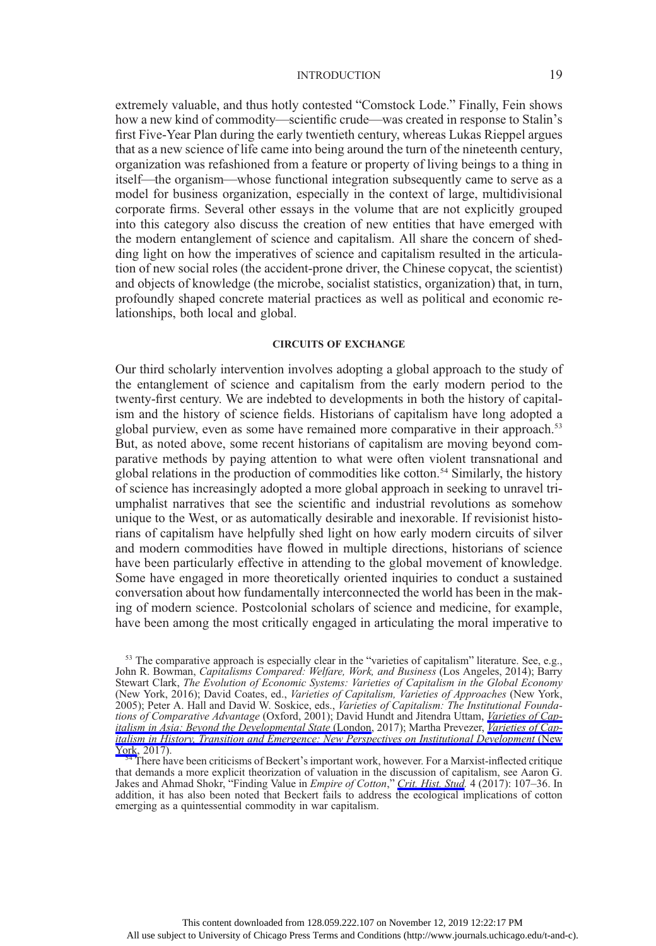extremely valuable, and thus hotly contested "Comstock Lode." Finally, Fein shows how a new kind of commodity—scientific crude—was created in response to Stalin's first Five-Year Plan during the early twentieth century, whereas Lukas Rieppel argues that as a new science of life came into being around the turn of the nineteenth century, organization was refashioned from a feature or property of living beings to a thing in itself—the organism—whose functional integration subsequently came to serve as a model for business organization, especially in the context of large, multidivisional corporate firms. Several other essays in the volume that are not explicitly grouped into this category also discuss the creation of new entities that have emerged with the modern entanglement of science and capitalism. All share the concern of shedding light on how the imperatives of science and capitalism resulted in the articulation of new social roles (the accident-prone driver, the Chinese copycat, the scientist) and objects of knowledge (the microbe, socialist statistics, organization) that, in turn, profoundly shaped concrete material practices as well as political and economic relationships, both local and global.

#### CIRCUITS OF EXCHANGE

Our third scholarly intervention involves adopting a global approach to the study of the entanglement of science and capitalism from the early modern period to the twenty-first century. We are indebted to developments in both the history of capitalism and the history of science fields. Historians of capitalism have long adopted a global purview, even as some have remained more comparative in their approach.<sup>53</sup> But, as noted above, some recent historians of capitalism are moving beyond comparative methods by paying attention to what were often violent transnational and global relations in the production of commodities like cotton.<sup>54</sup> Similarly, the history of science has increasingly adopted a more global approach in seeking to unravel triumphalist narratives that see the scientific and industrial revolutions as somehow unique to the West, or as automatically desirable and inexorable. If revisionist historians of capitalism have helpfully shed light on how early modern circuits of silver and modern commodities have flowed in multiple directions, historians of science have been particularly effective in attending to the global movement of knowledge. Some have engaged in more theoretically oriented inquiries to conduct a sustained conversation about how fundamentally interconnected the world has been in the making of modern science. Postcolonial scholars of science and medicine, for example, have been among the most critically engaged in articulating the moral imperative to

<sup>&</sup>lt;sup>53</sup> The comparative approach is especially clear in the "varieties of capitalism" literature. See, e.g., John R. Bowman, Capitalisms Compared: Welfare, Work, and Business (Los Angeles, 2014); Barry Stewart Clark, The Evolution of Economic Systems: Varieties of Capitalism in the Global Economy (New York, 2016); David Coates, ed., Varieties of Capitalism, Varieties of Approaches (New York, 2005); Peter A. Hall and David W. Soskice, eds., Varieties of Capitalism: The Institutional Founda-tions of Comparative Advantage (Oxford, 2001); David Hundt and Jitendra Uttam, [Varieties of Cap](https://www.journals.uchicago.edu/action/showLinks?doi=10.1086%2F699170&crossref=10.1057%2F978-1-349-58974-6&citationId=p_n_198)*[italism in Asia: Beyond the Developmental State](https://www.journals.uchicago.edu/action/showLinks?doi=10.1086%2F699170&crossref=10.1057%2F978-1-349-58974-6&citationId=p_n_198)* (London, 2017); Martha Prevezer, *[Varieties of Cap](https://www.journals.uchicago.edu/action/showLinks?doi=10.1086%2F699170&crossref=10.4324%2F9781315819228&citationId=p_n_199)*[italism in History, Transition and Emergence: New Perspectives on Institutional Development](https://www.journals.uchicago.edu/action/showLinks?doi=10.1086%2F699170&crossref=10.4324%2F9781315819228&citationId=p_n_199) (New

 $\frac{\text{York}}{54}$  $\frac{\text{York}}{54}$  $\frac{\text{York}}{54}$  There have been criticisms of Beckert's important work, however. For a Marxist-inflected critique that demands a more explicit theorization of valuation in the discussion of capitalism, see Aaron G. Jakes and Ahmad Shokr, "Finding Value in *Empire of Cotton*," *[Crit. Hist. Stud](https://www.journals.uchicago.edu/action/showLinks?doi=10.1086%2F699170&system=10.1086%2F691060&citationId=p_n_201).* 4 (2017): 107–36. In addition, it has also been noted that Beckert fails to address the ecological implications of cotton emerging as a quintessential commodity in war capitalism.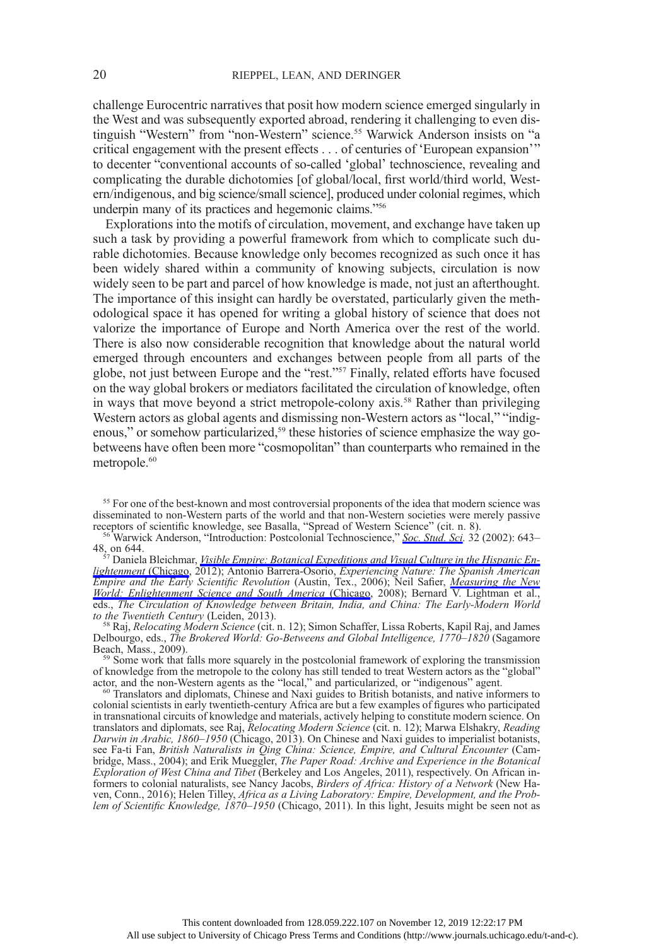challenge Eurocentric narratives that posit how modern science emerged singularly in the West and was subsequently exported abroad, rendering it challenging to even distinguish "Western" from "non-Western" science.<sup>55</sup> Warwick Anderson insists on "a critical engagement with the present effects . . . of centuries of 'European expansion'" to decenter "conventional accounts of so-called 'global' technoscience, revealing and complicating the durable dichotomies [of global/local, first world/third world, Western/indigenous, and big science/small science], produced under colonial regimes, which underpin many of its practices and hegemonic claims."<sup>56</sup>

Explorations into the motifs of circulation, movement, and exchange have taken up such a task by providing a powerful framework from which to complicate such durable dichotomies. Because knowledge only becomes recognized as such once it has been widely shared within a community of knowing subjects, circulation is now widely seen to be part and parcel of how knowledge is made, not just an afterthought. The importance of this insight can hardly be overstated, particularly given the methodological space it has opened for writing a global history of science that does not valorize the importance of Europe and North America over the rest of the world. There is also now considerable recognition that knowledge about the natural world emerged through encounters and exchanges between people from all parts of the globe, not just between Europe and the "rest."<sup>57</sup> Finally, related efforts have focused on the way global brokers or mediators facilitated the circulation of knowledge, often in ways that move beyond a strict metropole-colony axis.<sup>58</sup> Rather than privileging Western actors as global agents and dismissing non-Western actors as "local," "indigenous," or somehow particularized,<sup>59</sup> these histories of science emphasize the way gobetweens have often been more "cosmopolitan" than counterparts who remained in the metropole.<sup>60</sup>

<sup>56</sup> Warwick Anderson, "Introduction: Postcolonial Technoscience," [Soc. Stud. Sci.](https://www.journals.uchicago.edu/action/showLinks?doi=10.1086%2F699170&crossref=10.1177%2F030631270203200502&citationId=p_n_204) 32 (2002): 643–

48, on 644.<br><sup>57</sup> Daniela Bleichmar, <u>Visible Empire: Botanical Expeditions and Visual Culture in the Hispanic En-</u> [lightenment](https://www.journals.uchicago.edu/action/showLinks?doi=10.1086%2F699170&crossref=10.7208%2Fchicago%2F9780226058559.001.0001&citationId=p_n_205) (Chicago, 2012); Antonio Barrera-Osorio, *Experiencing Nature: The Spanish American* Empire and the Early Scientific Revolution (Austin, Tex., 2006); Neil Safier, *[Measuring the New](https://www.journals.uchicago.edu/action/showLinks?doi=10.1086%2F699170&crossref=10.7208%2Fchicago%2F9780226733562.001.0001&citationId=p_n_206)* [World: Enlightenment Science and South America](https://www.journals.uchicago.edu/action/showLinks?doi=10.1086%2F699170&crossref=10.7208%2Fchicago%2F9780226733562.001.0001&citationId=p_n_206) (Chicago, 2008); Bernard V. Lightman et al., eds., The Circulation of Knowledge between Britain, India, and China: The Early-Modern World to the Twentieth Century (Leiden, 2013).<br><sup>58</sup> Raj, *Relocating Modern Science* (cit. n. 12); Simon Schaffer, Lissa Roberts, Kapil Raj, and James

Delbourgo, eds., *The Brokered World: Go-Betweens and Global Intelligence*, 1770–1820 (Sagamore Beach, Mass., 2009).

 $59$  Some work that falls more squarely in the postcolonial framework of exploring the transmission of knowledge from the metropole to the colony has still tended to treat Western actors as the "global"

 $\alpha$ <sup>60</sup> Translators and diplomats, Chinese and Naxi guides to British botanists, and native informers to colonial scientists in early twentieth-century Africa are but a few examples of figures who participated in transnational circuits of knowledge and materials, actively helping to constitute modern science. On translators and diplomats, see Raj, Relocating Modern Science (cit. n. 12); Marwa Elshakry, Reading Darwin in Arabic, 1860–1950 (Chicago, 2013). On Chinese and Naxi guides to imperialist botanists, see Fa-ti Fan, British Naturalists in Qing China: Science, Empire, and Cultural Encounter (Cambridge, Mass., 2004); and Erik Mueggler, The Paper Road: Archive and Experience in the Botanical Exploration of West China and Tibet (Berkeley and Los Angeles, 2011), respectively. On African informers to colonial naturalists, see Nancy Jacobs, Birders of Africa: History of a Network (New Haven, Conn., 2016); Helen Tilley, Africa as a Living Laboratory: Empire, Development, and the Problem of Scientific Knowledge,  $1870-1950$  (Chicago, 2011). In this light, Jesuits might be seen not as

<sup>&</sup>lt;sup>55</sup> For one of the best-known and most controversial proponents of the idea that modern science was disseminated to non-Western parts of the world and that non-Western societies were merely passive receptors of scientific knowledge, see Basalla, "Spread of Western Science" (cit. n. 8).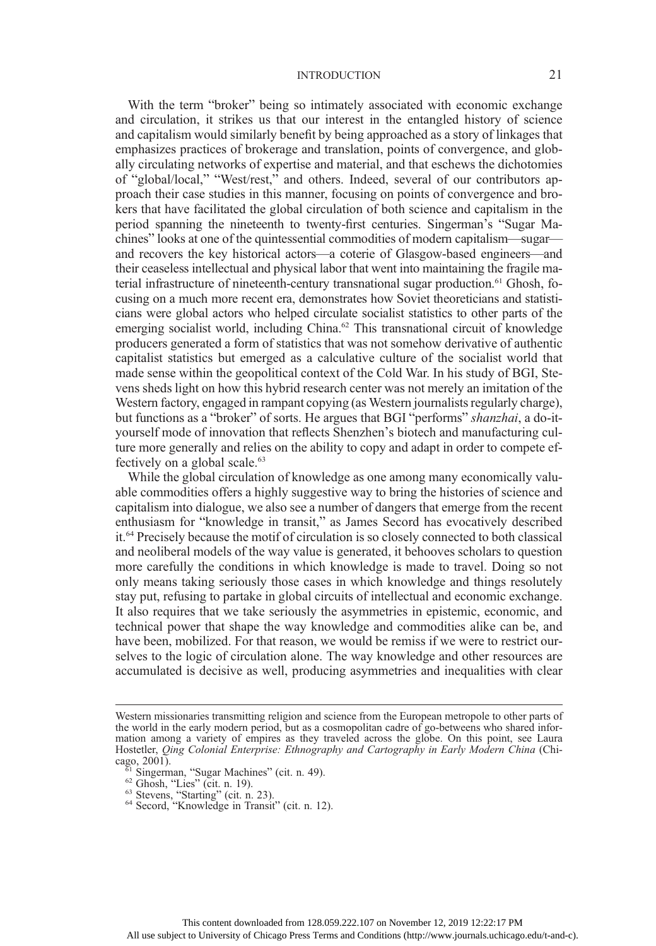With the term "broker" being so intimately associated with economic exchange and circulation, it strikes us that our interest in the entangled history of science and capitalism would similarly benefit by being approached as a story of linkages that emphasizes practices of brokerage and translation, points of convergence, and globally circulating networks of expertise and material, and that eschews the dichotomies of "global/local," "West/rest," and others. Indeed, several of our contributors approach their case studies in this manner, focusing on points of convergence and brokers that have facilitated the global circulation of both science and capitalism in the period spanning the nineteenth to twenty-first centuries. Singerman's "Sugar Machines" looks at one of the quintessential commodities of modern capitalism—sugar and recovers the key historical actors—a coterie of Glasgow-based engineers—and their ceaseless intellectual and physical labor that went into maintaining the fragile material infrastructure of nineteenth-century transnational sugar production.<sup>61</sup> Ghosh, focusing on a much more recent era, demonstrates how Soviet theoreticians and statisticians were global actors who helped circulate socialist statistics to other parts of the emerging socialist world, including China.<sup>62</sup> This transnational circuit of knowledge producers generated a form of statistics that was not somehow derivative of authentic capitalist statistics but emerged as a calculative culture of the socialist world that made sense within the geopolitical context of the Cold War. In his study of BGI, Stevens sheds light on how this hybrid research center was not merely an imitation of the Western factory, engaged in rampant copying (as Western journalists regularly charge), but functions as a "broker" of sorts. He argues that BGI "performs" shanzhai, a do-ityourself mode of innovation that reflects Shenzhen's biotech and manufacturing culture more generally and relies on the ability to copy and adapt in order to compete effectively on a global scale.<sup>63</sup>

While the global circulation of knowledge as one among many economically valuable commodities offers a highly suggestive way to bring the histories of science and capitalism into dialogue, we also see a number of dangers that emerge from the recent enthusiasm for "knowledge in transit," as James Secord has evocatively described it.64 Precisely because the motif of circulation is so closely connected to both classical and neoliberal models of the way value is generated, it behooves scholars to question more carefully the conditions in which knowledge is made to travel. Doing so not only means taking seriously those cases in which knowledge and things resolutely stay put, refusing to partake in global circuits of intellectual and economic exchange. It also requires that we take seriously the asymmetries in epistemic, economic, and technical power that shape the way knowledge and commodities alike can be, and have been, mobilized. For that reason, we would be remiss if we were to restrict ourselves to the logic of circulation alone. The way knowledge and other resources are accumulated is decisive as well, producing asymmetries and inequalities with clear

Western missionaries transmitting religion and science from the European metropole to other parts of the world in the early modern period, but as a cosmopolitan cadre of go-betweens who shared information among a variety of empires as they traveled across the globe. On this point, see Laura Hostetler, Qing Colonial Enterprise: Ethnography and Cartography in Early Modern China (Chicago,  $2001$ ).

 $\frac{61}{61}$  Singerman, "Sugar Machines" (cit. n. 49).<br>  $\frac{62}{3}$  Ghosh, "Lies" (cit. n. 19).<br>  $\frac{63}{4}$  Secord, "Knowledge in Transit" (cit. n. 12).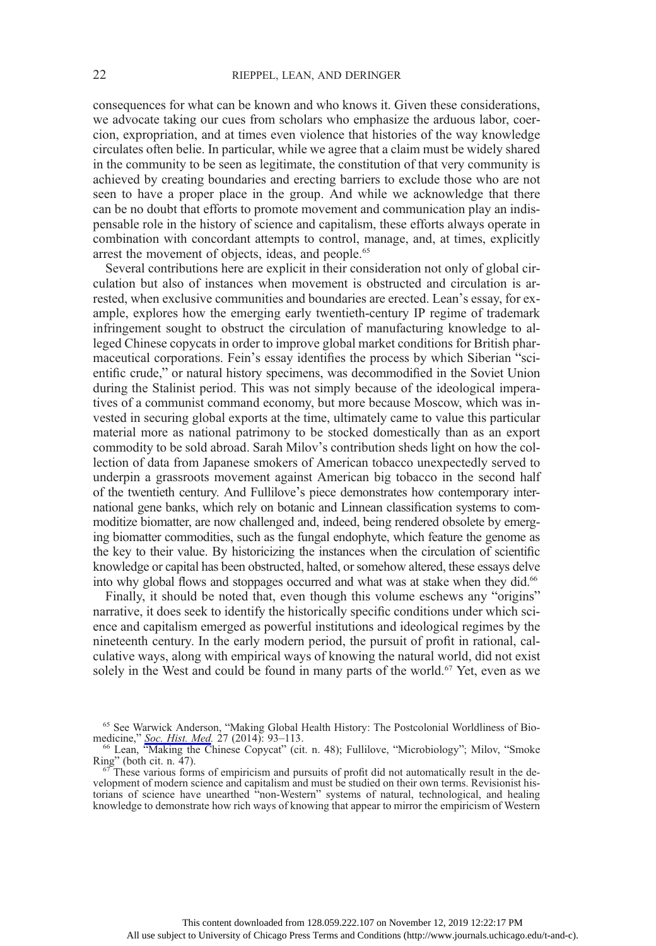consequences for what can be known and who knows it. Given these considerations, we advocate taking our cues from scholars who emphasize the arduous labor, coercion, expropriation, and at times even violence that histories of the way knowledge circulates often belie. In particular, while we agree that a claim must be widely shared in the community to be seen as legitimate, the constitution of that very community is achieved by creating boundaries and erecting barriers to exclude those who are not seen to have a proper place in the group. And while we acknowledge that there can be no doubt that efforts to promote movement and communication play an indispensable role in the history of science and capitalism, these efforts always operate in combination with concordant attempts to control, manage, and, at times, explicitly arrest the movement of objects, ideas, and people.<sup>65</sup>

Several contributions here are explicit in their consideration not only of global circulation but also of instances when movement is obstructed and circulation is arrested, when exclusive communities and boundaries are erected. Lean's essay, for example, explores how the emerging early twentieth-century IP regime of trademark infringement sought to obstruct the circulation of manufacturing knowledge to alleged Chinese copycats in order to improve global market conditions for British pharmaceutical corporations. Fein's essay identifies the process by which Siberian "scientific crude," or natural history specimens, was decommodified in the Soviet Union during the Stalinist period. This was not simply because of the ideological imperatives of a communist command economy, but more because Moscow, which was invested in securing global exports at the time, ultimately came to value this particular material more as national patrimony to be stocked domestically than as an export commodity to be sold abroad. Sarah Milov's contribution sheds light on how the collection of data from Japanese smokers of American tobacco unexpectedly served to underpin a grassroots movement against American big tobacco in the second half of the twentieth century. And Fullilove's piece demonstrates how contemporary international gene banks, which rely on botanic and Linnean classification systems to commoditize biomatter, are now challenged and, indeed, being rendered obsolete by emerging biomatter commodities, such as the fungal endophyte, which feature the genome as the key to their value. By historicizing the instances when the circulation of scientific knowledge or capital has been obstructed, halted, or somehow altered, these essays delve into why global flows and stoppages occurred and what was at stake when they did.<sup>66</sup>

Finally, it should be noted that, even though this volume eschews any "origins" narrative, it does seek to identify the historically specific conditions under which science and capitalism emerged as powerful institutions and ideological regimes by the nineteenth century. In the early modern period, the pursuit of profit in rational, calculative ways, along with empirical ways of knowing the natural world, did not exist solely in the West and could be found in many parts of the world.<sup>67</sup> Yet, even as we

<sup>65</sup> See Warwick Anderson, "Making Global Health History: The Postcolonial Worldliness of Bio-

medicine," [Soc. Hist. Med.](https://www.journals.uchicago.edu/action/showLinks?doi=10.1086%2F699170&crossref=10.1093%2Fshm%2Fhkt126&citationId=p_n_223) 27 (2014): 93–113.<br>
<sup>66</sup> Lean, "Making the Chinese Copycat" (cit. n. 48); Fullilove, "Microbiology"; Milov, "Smoke Ring" (both cit. n. 47).

These various forms of empiricism and pursuits of profit did not automatically result in the development of modern science and capitalism and must be studied on their own terms. Revisionist historians of science have unearthed "non-Western" systems of natural, technological, and healing knowledge to demonstrate how rich ways of knowing that appear to mirror the empiricism of Western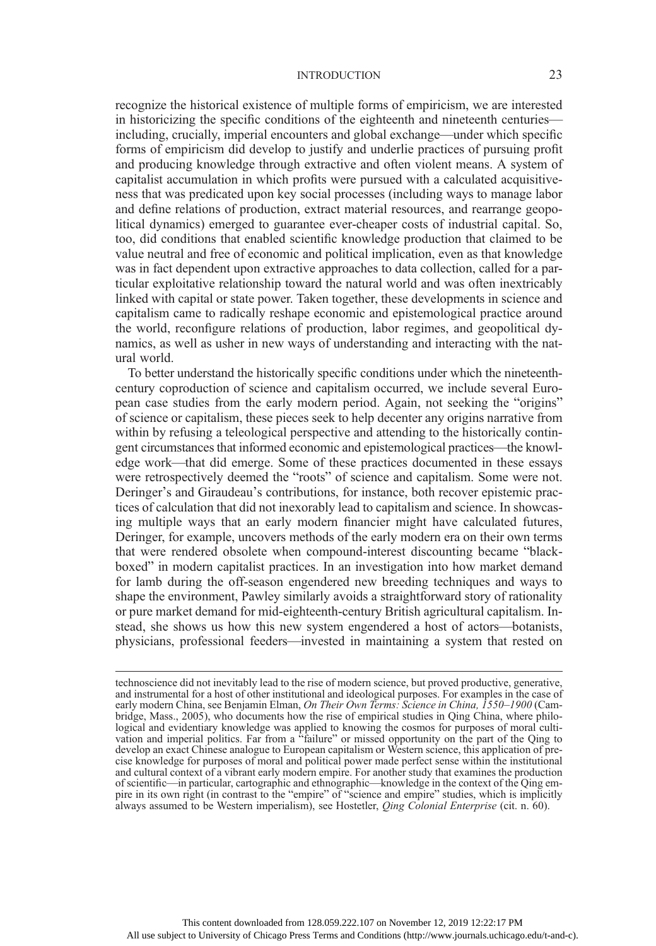recognize the historical existence of multiple forms of empiricism, we are interested in historicizing the specific conditions of the eighteenth and nineteenth centuries including, crucially, imperial encounters and global exchange—under which specific forms of empiricism did develop to justify and underlie practices of pursuing profit and producing knowledge through extractive and often violent means. A system of capitalist accumulation in which profits were pursued with a calculated acquisitiveness that was predicated upon key social processes (including ways to manage labor and define relations of production, extract material resources, and rearrange geopolitical dynamics) emerged to guarantee ever-cheaper costs of industrial capital. So, too, did conditions that enabled scientific knowledge production that claimed to be value neutral and free of economic and political implication, even as that knowledge was in fact dependent upon extractive approaches to data collection, called for a particular exploitative relationship toward the natural world and was often inextricably linked with capital or state power. Taken together, these developments in science and capitalism came to radically reshape economic and epistemological practice around the world, reconfigure relations of production, labor regimes, and geopolitical dynamics, as well as usher in new ways of understanding and interacting with the natural world.

To better understand the historically specific conditions under which the nineteenthcentury coproduction of science and capitalism occurred, we include several European case studies from the early modern period. Again, not seeking the "origins" of science or capitalism, these pieces seek to help decenter any origins narrative from within by refusing a teleological perspective and attending to the historically contingent circumstances that informed economic and epistemological practices—the knowledge work—that did emerge. Some of these practices documented in these essays were retrospectively deemed the "roots" of science and capitalism. Some were not. Deringer's and Giraudeau's contributions, for instance, both recover epistemic practices of calculation that did not inexorably lead to capitalism and science. In showcasing multiple ways that an early modern financier might have calculated futures, Deringer, for example, uncovers methods of the early modern era on their own terms that were rendered obsolete when compound-interest discounting became "blackboxed" in modern capitalist practices. In an investigation into how market demand for lamb during the off-season engendered new breeding techniques and ways to shape the environment, Pawley similarly avoids a straightforward story of rationality or pure market demand for mid-eighteenth-century British agricultural capitalism. Instead, she shows us how this new system engendered a host of actors—botanists, physicians, professional feeders—invested in maintaining a system that rested on

technoscience did not inevitably lead to the rise of modern science, but proved productive, generative, and instrumental for a host of other institutional and ideological purposes. For examples in the case of early modern China, see Benjamin Elman, On Their Own Terms: Science in China, 1550–1900 (Cambridge, Mass., 2005), who documents how the rise of empirical studies in Qing China, where philological and evidentiary knowledge was applied to knowing the cosmos for purposes of moral cultivation and imperial politics. Far from a "failure" or missed opportunity on the part of the Qing to develop an exact Chinese analogue to European capitalism or Western science, this application of precise knowledge for purposes of moral and political power made perfect sense within the institutional and cultural context of a vibrant early modern empire. For another study that examines the production of scientific—in particular, cartographic and ethnographic—knowledge in the context of the Qing empire in its own right (in contrast to the "empire" of "science and empire" studies, which is implicitly always assumed to be Western imperialism), see Hostetler, Qing Colonial Enterprise (cit. n. 60).